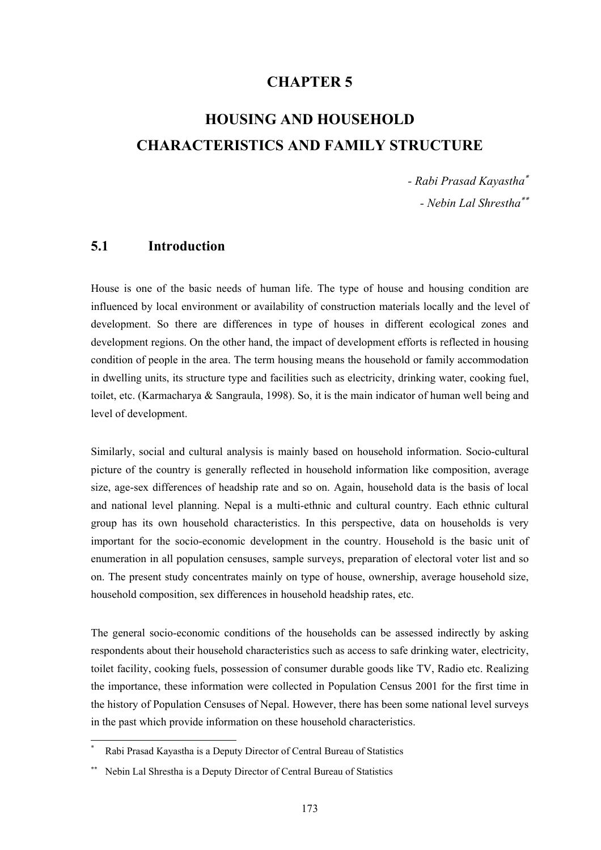## **CHAPTER 5**

# **HOUSING AND HOUSEHOLD CHARACTERISTICS AND FAMILY STRUCTURE**

*- Rabi Prasad Kayastha*<sup>∗</sup> *- Nebin Lal Shrestha*∗∗

## **5.1 Introduction**

House is one of the basic needs of human life. The type of house and housing condition are influenced by local environment or availability of construction materials locally and the level of development. So there are differences in type of houses in different ecological zones and development regions. On the other hand, the impact of development efforts is reflected in housing condition of people in the area. The term housing means the household or family accommodation in dwelling units, its structure type and facilities such as electricity, drinking water, cooking fuel, toilet, etc. (Karmacharya & Sangraula, 1998). So, it is the main indicator of human well being and level of development.

Similarly, social and cultural analysis is mainly based on household information. Socio-cultural picture of the country is generally reflected in household information like composition, average size, age-sex differences of headship rate and so on. Again, household data is the basis of local and national level planning. Nepal is a multi-ethnic and cultural country. Each ethnic cultural group has its own household characteristics. In this perspective, data on households is very important for the socio-economic development in the country. Household is the basic unit of enumeration in all population censuses, sample surveys, preparation of electoral voter list and so on. The present study concentrates mainly on type of house, ownership, average household size, household composition, sex differences in household headship rates, etc.

The general socio-economic conditions of the households can be assessed indirectly by asking respondents about their household characteristics such as access to safe drinking water, electricity, toilet facility, cooking fuels, possession of consumer durable goods like TV, Radio etc. Realizing the importance, these information were collected in Population Census 2001 for the first time in the history of Population Censuses of Nepal. However, there has been some national level surveys in the past which provide information on these household characteristics.

 $\overline{a}$ 

<sup>\*</sup> Rabi Prasad Kayastha is a Deputy Director of Central Bureau of Statistics

Nebin Lal Shrestha is a Deputy Director of Central Bureau of Statistics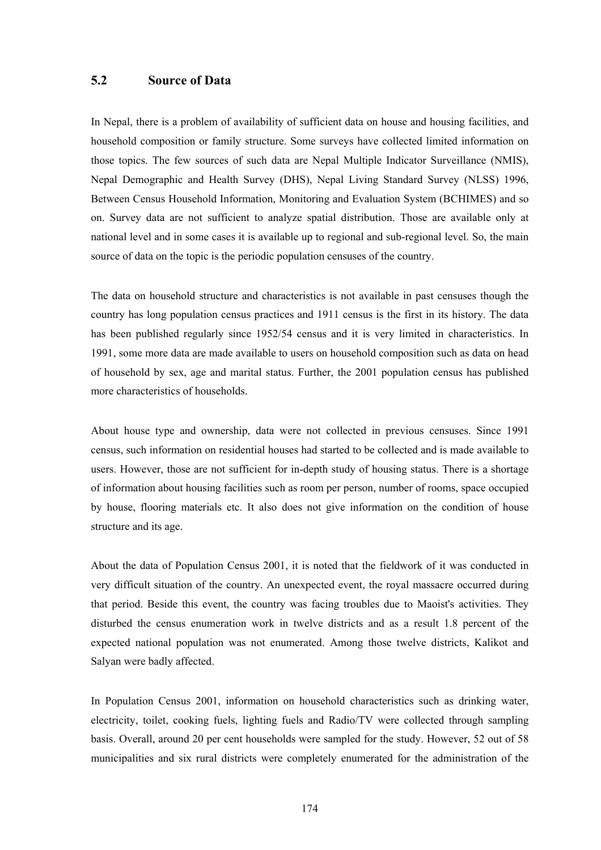#### **5.2 Source of Data**

In Nepal, there is a problem of availability of sufficient data on house and housing facilities, and household composition or family structure. Some surveys have collected limited information on those topics. The few sources of such data are Nepal Multiple Indicator Surveillance (NMIS), Nepal Demographic and Health Survey (DHS), Nepal Living Standard Survey (NLSS) 1996, Between Census Household Information, Monitoring and Evaluation System (BCHIMES) and so on. Survey data are not sufficient to analyze spatial distribution. Those are available only at national level and in some cases it is available up to regional and sub-regional level. So, the main source of data on the topic is the periodic population censuses of the country.

The data on household structure and characteristics is not available in past censuses though the country has long population census practices and 1911 census is the first in its history. The data has been published regularly since 1952/54 census and it is very limited in characteristics. In 1991, some more data are made available to users on household composition such as data on head of household by sex, age and marital status. Further, the 2001 population census has published more characteristics of households.

About house type and ownership, data were not collected in previous censuses. Since 1991 census, such information on residential houses had started to be collected and is made available to users. However, those are not sufficient for in-depth study of housing status. There is a shortage of information about housing facilities such as room per person, number of rooms, space occupied by house, flooring materials etc. It also does not give information on the condition of house structure and its age.

About the data of Population Census 2001, it is noted that the fieldwork of it was conducted in very difficult situation of the country. An unexpected event, the royal massacre occurred during that period. Beside this event, the country was facing troubles due to Maoist's activities. They disturbed the census enumeration work in twelve districts and as a result 1.8 percent of the expected national population was not enumerated. Among those twelve districts, Kalikot and Salyan were badly affected.

In Population Census 2001, information on household characteristics such as drinking water, electricity, toilet, cooking fuels, lighting fuels and Radio/TV were collected through sampling basis. Overall, around 20 per cent households were sampled for the study. However, 52 out of 58 municipalities and six rural districts were completely enumerated for the administration of the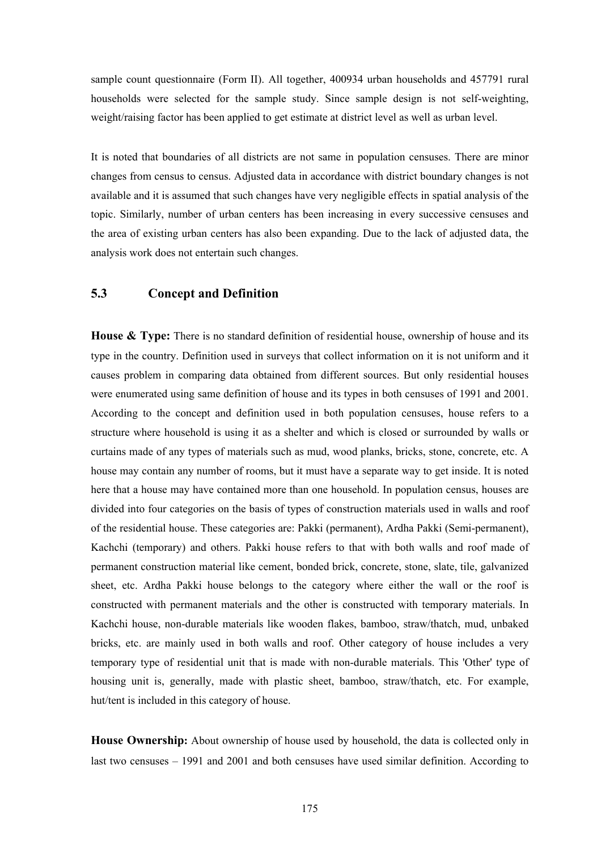sample count questionnaire (Form II). All together, 400934 urban households and 457791 rural households were selected for the sample study. Since sample design is not self-weighting, weight/raising factor has been applied to get estimate at district level as well as urban level.

It is noted that boundaries of all districts are not same in population censuses. There are minor changes from census to census. Adjusted data in accordance with district boundary changes is not available and it is assumed that such changes have very negligible effects in spatial analysis of the topic. Similarly, number of urban centers has been increasing in every successive censuses and the area of existing urban centers has also been expanding. Due to the lack of adjusted data, the analysis work does not entertain such changes.

## **5.3 Concept and Definition**

**House & Type:** There is no standard definition of residential house, ownership of house and its type in the country. Definition used in surveys that collect information on it is not uniform and it causes problem in comparing data obtained from different sources. But only residential houses were enumerated using same definition of house and its types in both censuses of 1991 and 2001. According to the concept and definition used in both population censuses, house refers to a structure where household is using it as a shelter and which is closed or surrounded by walls or curtains made of any types of materials such as mud, wood planks, bricks, stone, concrete, etc. A house may contain any number of rooms, but it must have a separate way to get inside. It is noted here that a house may have contained more than one household. In population census, houses are divided into four categories on the basis of types of construction materials used in walls and roof of the residential house. These categories are: Pakki (permanent), Ardha Pakki (Semi-permanent), Kachchi (temporary) and others. Pakki house refers to that with both walls and roof made of permanent construction material like cement, bonded brick, concrete, stone, slate, tile, galvanized sheet, etc. Ardha Pakki house belongs to the category where either the wall or the roof is constructed with permanent materials and the other is constructed with temporary materials. In Kachchi house, non-durable materials like wooden flakes, bamboo, straw/thatch, mud, unbaked bricks, etc. are mainly used in both walls and roof. Other category of house includes a very temporary type of residential unit that is made with non-durable materials. This 'Other' type of housing unit is, generally, made with plastic sheet, bamboo, straw/thatch, etc. For example, hut/tent is included in this category of house.

**House Ownership:** About ownership of house used by household, the data is collected only in last two censuses – 1991 and 2001 and both censuses have used similar definition. According to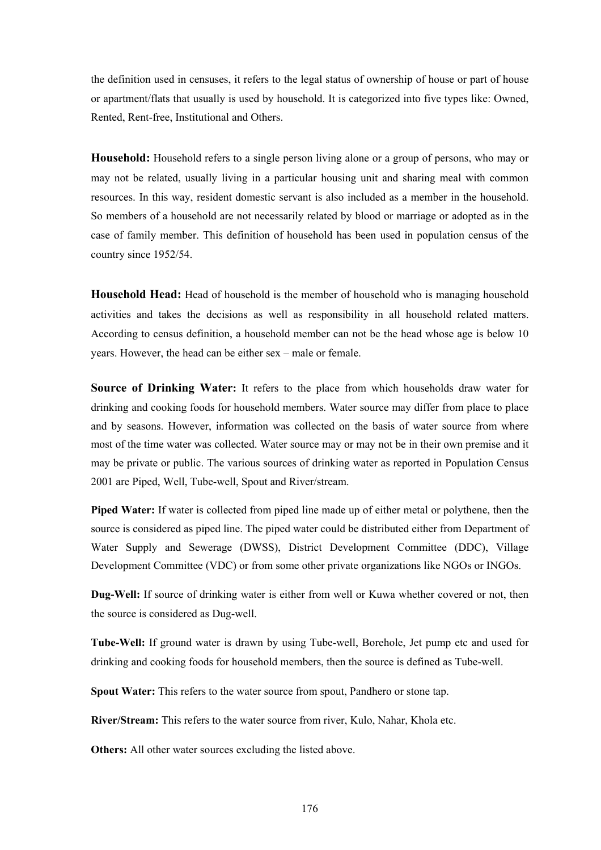the definition used in censuses, it refers to the legal status of ownership of house or part of house or apartment/flats that usually is used by household. It is categorized into five types like: Owned, Rented, Rent-free, Institutional and Others.

**Household:** Household refers to a single person living alone or a group of persons, who may or may not be related, usually living in a particular housing unit and sharing meal with common resources. In this way, resident domestic servant is also included as a member in the household. So members of a household are not necessarily related by blood or marriage or adopted as in the case of family member. This definition of household has been used in population census of the country since 1952/54.

**Household Head:** Head of household is the member of household who is managing household activities and takes the decisions as well as responsibility in all household related matters. According to census definition, a household member can not be the head whose age is below 10 years. However, the head can be either sex – male or female.

**Source of Drinking Water:** It refers to the place from which households draw water for drinking and cooking foods for household members. Water source may differ from place to place and by seasons. However, information was collected on the basis of water source from where most of the time water was collected. Water source may or may not be in their own premise and it may be private or public. The various sources of drinking water as reported in Population Census 2001 are Piped, Well, Tube-well, Spout and River/stream.

**Piped Water:** If water is collected from piped line made up of either metal or polythene, then the source is considered as piped line. The piped water could be distributed either from Department of Water Supply and Sewerage (DWSS), District Development Committee (DDC), Village Development Committee (VDC) or from some other private organizations like NGOs or INGOs.

**Dug-Well:** If source of drinking water is either from well or Kuwa whether covered or not, then the source is considered as Dug-well.

**Tube-Well:** If ground water is drawn by using Tube-well, Borehole, Jet pump etc and used for drinking and cooking foods for household members, then the source is defined as Tube-well.

**Spout Water:** This refers to the water source from spout, Pandhero or stone tap.

**River/Stream:** This refers to the water source from river, Kulo, Nahar, Khola etc.

**Others:** All other water sources excluding the listed above.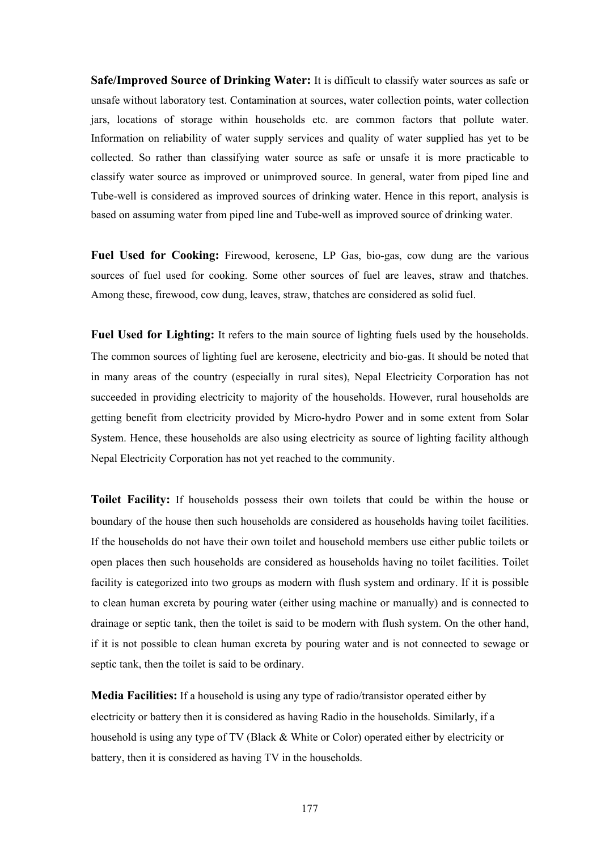**Safe/Improved Source of Drinking Water:** It is difficult to classify water sources as safe or unsafe without laboratory test. Contamination at sources, water collection points, water collection jars, locations of storage within households etc. are common factors that pollute water. Information on reliability of water supply services and quality of water supplied has yet to be collected. So rather than classifying water source as safe or unsafe it is more practicable to classify water source as improved or unimproved source. In general, water from piped line and Tube-well is considered as improved sources of drinking water. Hence in this report, analysis is based on assuming water from piped line and Tube-well as improved source of drinking water.

**Fuel Used for Cooking:** Firewood, kerosene, LP Gas, bio-gas, cow dung are the various sources of fuel used for cooking. Some other sources of fuel are leaves, straw and thatches. Among these, firewood, cow dung, leaves, straw, thatches are considered as solid fuel.

**Fuel Used for Lighting:** It refers to the main source of lighting fuels used by the households. The common sources of lighting fuel are kerosene, electricity and bio-gas. It should be noted that in many areas of the country (especially in rural sites), Nepal Electricity Corporation has not succeeded in providing electricity to majority of the households. However, rural households are getting benefit from electricity provided by Micro-hydro Power and in some extent from Solar System. Hence, these households are also using electricity as source of lighting facility although Nepal Electricity Corporation has not yet reached to the community.

**Toilet Facility:** If households possess their own toilets that could be within the house or boundary of the house then such households are considered as households having toilet facilities. If the households do not have their own toilet and household members use either public toilets or open places then such households are considered as households having no toilet facilities. Toilet facility is categorized into two groups as modern with flush system and ordinary. If it is possible to clean human excreta by pouring water (either using machine or manually) and is connected to drainage or septic tank, then the toilet is said to be modern with flush system. On the other hand, if it is not possible to clean human excreta by pouring water and is not connected to sewage or septic tank, then the toilet is said to be ordinary.

**Media Facilities:** If a household is using any type of radio/transistor operated either by electricity or battery then it is considered as having Radio in the households. Similarly, if a household is using any type of TV (Black & White or Color) operated either by electricity or battery, then it is considered as having TV in the households.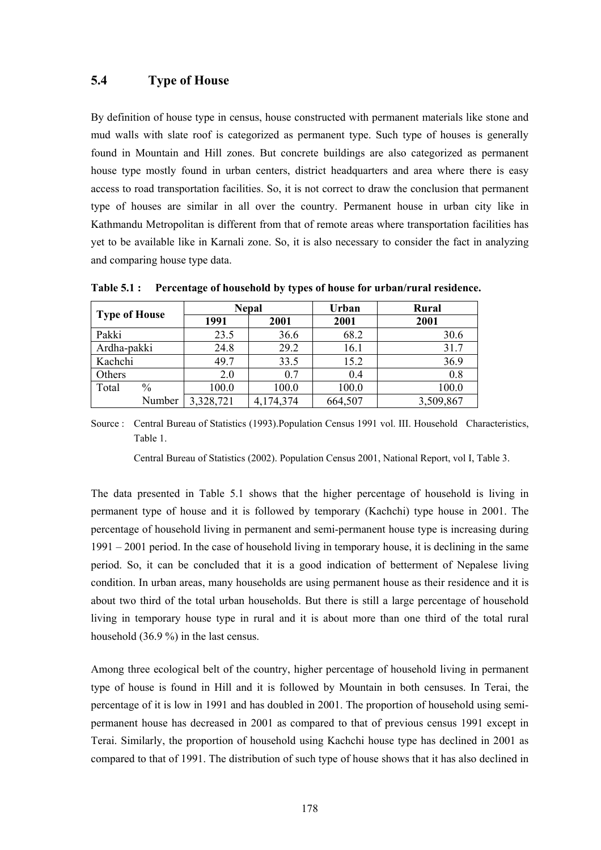### **5.4 Type of House**

By definition of house type in census, house constructed with permanent materials like stone and mud walls with slate roof is categorized as permanent type. Such type of houses is generally found in Mountain and Hill zones. But concrete buildings are also categorized as permanent house type mostly found in urban centers, district headquarters and area where there is easy access to road transportation facilities. So, it is not correct to draw the conclusion that permanent type of houses are similar in all over the country. Permanent house in urban city like in Kathmandu Metropolitan is different from that of remote areas where transportation facilities has yet to be available like in Karnali zone. So, it is also necessary to consider the fact in analyzing and comparing house type data.

| <b>Type of House</b> |        |           | <b>Nepal</b> | Urban   | Rural     |
|----------------------|--------|-----------|--------------|---------|-----------|
|                      |        | 1991      | 2001         | 2001    | 2001      |
| Pakki                |        | 23.5      | 36.6         | 68.2    | 30.6      |
| Ardha-pakki          |        | 24.8      | 29.2         | 16.1    | 31.7      |
| Kachchi              |        | 49.7      | 33.5         | 15.2    | 36.9      |
| Others               |        | 2.0       | 0.7          | 0.4     | 0.8       |
| Total                | $\%$   | 100.0     | 100.0        | 100.0   | 100.0     |
|                      | Number | 3,328,721 | 4,174,374    | 664,507 | 3,509,867 |

**Table 5.1 : Percentage of household by types of house for urban/rural residence.** 

Source : Central Bureau of Statistics (1993).Population Census 1991 vol. III. Household Characteristics, Table 1.

Central Bureau of Statistics (2002). Population Census 2001, National Report, vol I, Table 3.

The data presented in Table 5.1 shows that the higher percentage of household is living in permanent type of house and it is followed by temporary (Kachchi) type house in 2001. The percentage of household living in permanent and semi-permanent house type is increasing during 1991 – 2001 period. In the case of household living in temporary house, it is declining in the same period. So, it can be concluded that it is a good indication of betterment of Nepalese living condition. In urban areas, many households are using permanent house as their residence and it is about two third of the total urban households. But there is still a large percentage of household living in temporary house type in rural and it is about more than one third of the total rural household (36.9 %) in the last census.

Among three ecological belt of the country, higher percentage of household living in permanent type of house is found in Hill and it is followed by Mountain in both censuses. In Terai, the percentage of it is low in 1991 and has doubled in 2001. The proportion of household using semipermanent house has decreased in 2001 as compared to that of previous census 1991 except in Terai. Similarly, the proportion of household using Kachchi house type has declined in 2001 as compared to that of 1991. The distribution of such type of house shows that it has also declined in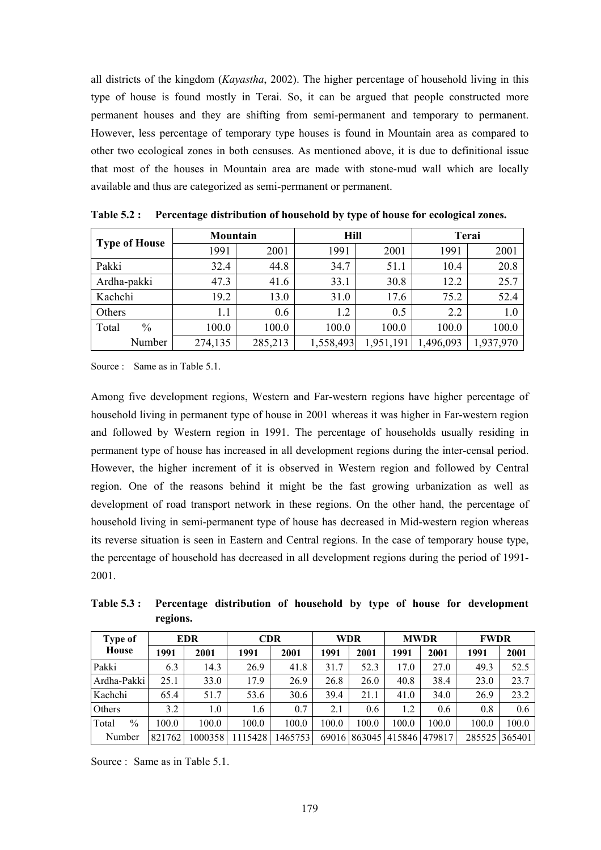all districts of the kingdom (*Kayastha*, 2002). The higher percentage of household living in this type of house is found mostly in Terai. So, it can be argued that people constructed more permanent houses and they are shifting from semi-permanent and temporary to permanent. However, less percentage of temporary type houses is found in Mountain area as compared to other two ecological zones in both censuses. As mentioned above, it is due to definitional issue that most of the houses in Mountain area are made with stone-mud wall which are locally available and thus are categorized as semi-permanent or permanent.

| <b>Type of House</b>   | <b>Mountain</b> |         | Hill      |           | <b>Terai</b> |           |  |
|------------------------|-----------------|---------|-----------|-----------|--------------|-----------|--|
|                        | 1991            | 2001    | 1991      | 2001      | 1991         | 2001      |  |
| Pakki                  | 32.4            | 44.8    | 34.7      | 51.1      | 10.4         | 20.8      |  |
| Ardha-pakki            | 47.3            | 41.6    | 33.1      | 30.8      | 12.2         | 25.7      |  |
| Kachchi                | 19.2            | 13.0    | 31.0      | 17.6      | 75.2         | 52.4      |  |
| Others                 | 1.1             | 0.6     | 1.2       | 0.5       | 2.2          | 1.0       |  |
| $\frac{0}{0}$<br>Total | 100.0           | 100.0   | 100.0     | 100.0     | 100.0        | 100.0     |  |
| Number                 | 274,135         | 285,213 | 1,558,493 | 1,951,191 | 1,496,093    | 1,937,970 |  |

**Table 5.2 : Percentage distribution of household by type of house for ecological zones.** 

Source : Same as in Table 5.1.

Among five development regions, Western and Far-western regions have higher percentage of household living in permanent type of house in 2001 whereas it was higher in Far-western region and followed by Western region in 1991. The percentage of households usually residing in permanent type of house has increased in all development regions during the inter-censal period. However, the higher increment of it is observed in Western region and followed by Central region. One of the reasons behind it might be the fast growing urbanization as well as development of road transport network in these regions. On the other hand, the percentage of household living in semi-permanent type of house has decreased in Mid-western region whereas its reverse situation is seen in Eastern and Central regions. In the case of temporary house type, the percentage of household has decreased in all development regions during the period of 1991- 2001.

**Table 5.3 : Percentage distribution of household by type of house for development regions.** 

| <b>Type of</b>         | <b>EDR</b> |         |         | <b>CDR</b> |       | <b>WDR</b> |                            | <b>MWDR</b> |               | <b>FWDR</b> |  |
|------------------------|------------|---------|---------|------------|-------|------------|----------------------------|-------------|---------------|-------------|--|
| House                  | 1991       | 2001    | 1991    | 2001       | 1991  | 2001       | 1991                       | 2001        | 1991          | 2001        |  |
| Pakki                  | 6.3        | 14.3    | 26.9    | 41.8       | 31.7  | 52.3       | 17.0                       | 27.0        | 49.3          | 52.5        |  |
| Ardha-Pakki            | 25.1       | 33.0    | 17.9    | 26.9       | 26.8  | 26.0       | 40.8                       | 38.4        | 23.0          | 23.7        |  |
| Kachchi                | 65.4       | 51.7    | 53.6    | 30.6       | 39.4  | 21.1       | 41.0                       | 34.0        | 26.9          | 23.2        |  |
| Others                 | 3.2        | 1.0     | 1.6     | 0.7        | 2.1   | 0.6        | 1.2                        | 0.6         | 0.8           | 0.6         |  |
| Total<br>$\frac{0}{0}$ | 100.0      | 100.0   | 100.0   | 100.0      | 100.0 | 100.0      | 100.0                      | 100.0       | 100.0         | 100.0       |  |
| Number                 | 821762     | 1000358 | 1115428 | 1465753    |       |            | 69016 863045 415846 479817 |             | 285525 365401 |             |  |

Source : Same as in Table 5.1.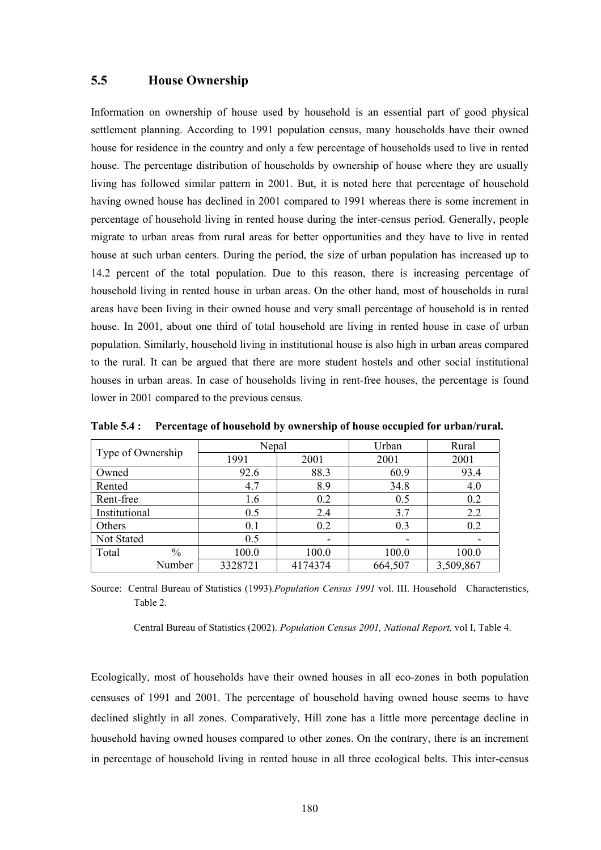## **5.5 House Ownership**

Information on ownership of house used by household is an essential part of good physical settlement planning. According to 1991 population census, many households have their owned house for residence in the country and only a few percentage of households used to live in rented house. The percentage distribution of households by ownership of house where they are usually living has followed similar pattern in 2001. But, it is noted here that percentage of household having owned house has declined in 2001 compared to 1991 whereas there is some increment in percentage of household living in rented house during the inter-census period. Generally, people migrate to urban areas from rural areas for better opportunities and they have to live in rented house at such urban centers. During the period, the size of urban population has increased up to 14.2 percent of the total population. Due to this reason, there is increasing percentage of household living in rented house in urban areas. On the other hand, most of households in rural areas have been living in their owned house and very small percentage of household is in rented house. In 2001, about one third of total household are living in rented house in case of urban population. Similarly, household living in institutional house is also high in urban areas compared to the rural. It can be argued that there are more student hostels and other social institutional houses in urban areas. In case of households living in rent-free houses, the percentage is found lower in 2001 compared to the previous census.

| Type of Ownership |               | Nepal        |         | Urban                    | Rural                    |
|-------------------|---------------|--------------|---------|--------------------------|--------------------------|
|                   |               | 1991<br>2001 |         | 2001                     | 2001                     |
| Owned             |               | 92.6         | 88.3    | 60.9                     | 93.4                     |
| Rented            |               | 4.7          | 8.9     | 34.8                     | 4.0                      |
| Rent-free         |               | 1.6          | 0.2     | 0.5                      | 0.2                      |
| Institutional     |               | 0.5          | 2.4     | 3.7                      | 2.2                      |
| Others            |               | 0.1          | 0.2     | 0.3                      | 0.2                      |
| Not Stated        |               | 0.5          |         | $\overline{\phantom{0}}$ | $\overline{\phantom{a}}$ |
| Total             | $\frac{0}{0}$ | 100.0        | 100.0   | 100.0                    | 100.0                    |
|                   | Number        | 3328721      | 4174374 | 664,507                  | 3,509,867                |

**Table 5.4 : Percentage of household by ownership of house occupied for urban/rural.** 

Source: Central Bureau of Statistics (1993).*Population Census 1991* vol. III. Household Characteristics, Table 2.

Central Bureau of Statistics (2002). *Population Census 2001, National Report,* vol I, Table 4.

Ecologically, most of households have their owned houses in all eco-zones in both population censuses of 1991 and 2001. The percentage of household having owned house seems to have declined slightly in all zones. Comparatively, Hill zone has a little more percentage decline in household having owned houses compared to other zones. On the contrary, there is an increment in percentage of household living in rented house in all three ecological belts. This inter-census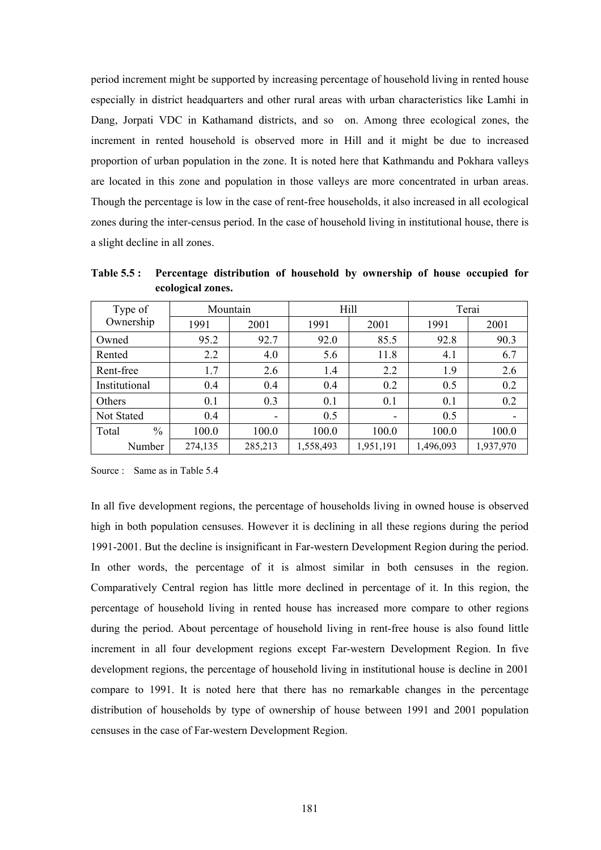period increment might be supported by increasing percentage of household living in rented house especially in district headquarters and other rural areas with urban characteristics like Lamhi in Dang, Jorpati VDC in Kathamand districts, and so on. Among three ecological zones, the increment in rented household is observed more in Hill and it might be due to increased proportion of urban population in the zone. It is noted here that Kathmandu and Pokhara valleys are located in this zone and population in those valleys are more concentrated in urban areas. Though the percentage is low in the case of rent-free households, it also increased in all ecological zones during the inter-census period. In the case of household living in institutional house, there is a slight decline in all zones.

| Type of                |         | Mountain                 |           | Hill                     |           | Terai     |  |  |
|------------------------|---------|--------------------------|-----------|--------------------------|-----------|-----------|--|--|
| Ownership              | 1991    | 2001                     | 1991      | 2001                     | 1991      | 2001      |  |  |
| Owned                  | 95.2    | 92.7                     | 92.0      | 85.5                     | 92.8      | 90.3      |  |  |
| Rented                 | 2.2     | 4.0                      | 5.6       | 11.8                     | 4.1       | 6.7       |  |  |
| Rent-free              | 1.7     | 2.6                      | 1.4       | 2.2                      | 1.9       | 2.6       |  |  |
| Institutional          | 0.4     | 0.4                      | 0.4       | 0.2                      | 0.5       | 0.2       |  |  |
| Others                 | 0.1     | 0.3                      | 0.1       | 0.1                      | 0.1       | 0.2       |  |  |
| Not Stated             | 0.4     | $\overline{\phantom{a}}$ | 0.5       | $\overline{\phantom{a}}$ | 0.5       | ٠         |  |  |
| $\frac{0}{0}$<br>Total | 100.0   | 100.0                    | 100.0     | 100.0                    | 100.0     | 100.0     |  |  |
| Number                 | 274,135 | 285,213                  | 1,558,493 | 1,951,191                | 1,496,093 | 1,937,970 |  |  |

**Table 5.5 : Percentage distribution of household by ownership of house occupied for ecological zones.** 

Source : Same as in Table 5.4

In all five development regions, the percentage of households living in owned house is observed high in both population censuses. However it is declining in all these regions during the period 1991-2001. But the decline is insignificant in Far-western Development Region during the period. In other words, the percentage of it is almost similar in both censuses in the region. Comparatively Central region has little more declined in percentage of it. In this region, the percentage of household living in rented house has increased more compare to other regions during the period. About percentage of household living in rent-free house is also found little increment in all four development regions except Far-western Development Region. In five development regions, the percentage of household living in institutional house is decline in 2001 compare to 1991. It is noted here that there has no remarkable changes in the percentage distribution of households by type of ownership of house between 1991 and 2001 population censuses in the case of Far-western Development Region.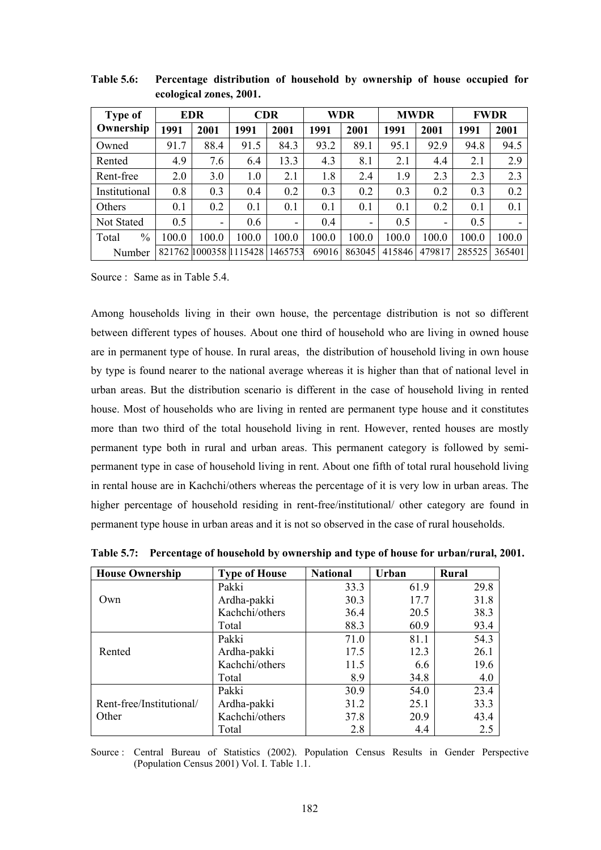| <b>Type of</b> | <b>EDR</b> |       |                | <b>CDR</b> |       | WDR    |        | <b>MWDR</b> | <b>FWDR</b> |        |
|----------------|------------|-------|----------------|------------|-------|--------|--------|-------------|-------------|--------|
| Ownership      | 1991       | 2001  | 1991           | 2001       | 1991  | 2001   | 1991   | 2001        | 1991        | 2001   |
| Owned          | 91.7       | 88.4  | 91.5           | 84.3       | 93.2  | 89.1   | 95.1   | 92.9        | 94.8        | 94.5   |
| Rented         | 4.9        | 7.6   | 6.4            | 13.3       | 4.3   | 8.1    | 2.1    | 4.4         | 2.1         | 2.9    |
| Rent-free      | 2.0        | 3.0   | 1.0            | 2.1        | 1.8   | 2.4    | 1.9    | 2.3         | 2.3         | 2.3    |
| Institutional  | 0.8        | 0.3   | 0.4            | 0.2        | 0.3   | 0.2    | 0.3    | 0.2         | 0.3         | 0.2    |
| Others         | 0.1        | 0.2   | 0.1            | 0.1        | 0.1   | 0.1    | 0.1    | 0.2         | 0.1         | 0.1    |
| Not Stated     | 0.5        | -     | 0.6            | -          | 0.4   | ۰      | 0.5    | -           | 0.5         |        |
| $\%$<br>Total  | 100.0      | 100.0 | 100.0          | 100.0      | 100.0 | 100.0  | 100.0  | 100.0       | 100.0       | 100.0  |
| Number         | 821762     |       | 10003581115428 | 1465753    | 69016 | 863045 | 415846 | 479817      | 285525      | 365401 |

**Table 5.6: Percentage distribution of household by ownership of house occupied for ecological zones, 2001.** 

Source : Same as in Table 5.4.

Among households living in their own house, the percentage distribution is not so different between different types of houses. About one third of household who are living in owned house are in permanent type of house. In rural areas, the distribution of household living in own house by type is found nearer to the national average whereas it is higher than that of national level in urban areas. But the distribution scenario is different in the case of household living in rented house. Most of households who are living in rented are permanent type house and it constitutes more than two third of the total household living in rent. However, rented houses are mostly permanent type both in rural and urban areas. This permanent category is followed by semipermanent type in case of household living in rent. About one fifth of total rural household living in rental house are in Kachchi/others whereas the percentage of it is very low in urban areas. The higher percentage of household residing in rent-free/institutional/ other category are found in permanent type house in urban areas and it is not so observed in the case of rural households.

| <b>House Ownership</b>   | <b>Type of House</b> | <b>National</b> | Urban | Rural |
|--------------------------|----------------------|-----------------|-------|-------|
|                          | Pakki                | 33.3            | 61.9  | 29.8  |
| Own                      | Ardha-pakki          | 30.3            | 17.7  | 31.8  |
|                          | Kachchi/others       | 36.4            | 20.5  | 38.3  |
|                          | Total                | 88.3            | 60.9  | 93.4  |
|                          | Pakki                | 71.0            | 81.1  | 54.3  |
| Rented                   | Ardha-pakki          | 17.5            | 12.3  | 26.1  |
|                          | Kachchi/others       | 11.5            | 6.6   | 19.6  |
|                          | Total                | 8.9             | 34.8  | 4.0   |
|                          | Pakki                | 30.9            | 54.0  | 23.4  |
| Rent-free/Institutional/ | Ardha-pakki          | 31.2            | 25.1  | 33.3  |
| Other                    | Kachchi/others       | 37.8            | 20.9  | 43.4  |
|                          | Total                | 2.8             | 4.4   | 2.5   |

**Table 5.7: Percentage of household by ownership and type of house for urban/rural, 2001.** 

Source : Central Bureau of Statistics (2002). Population Census Results in Gender Perspective (Population Census 2001) Vol. I. Table 1.1.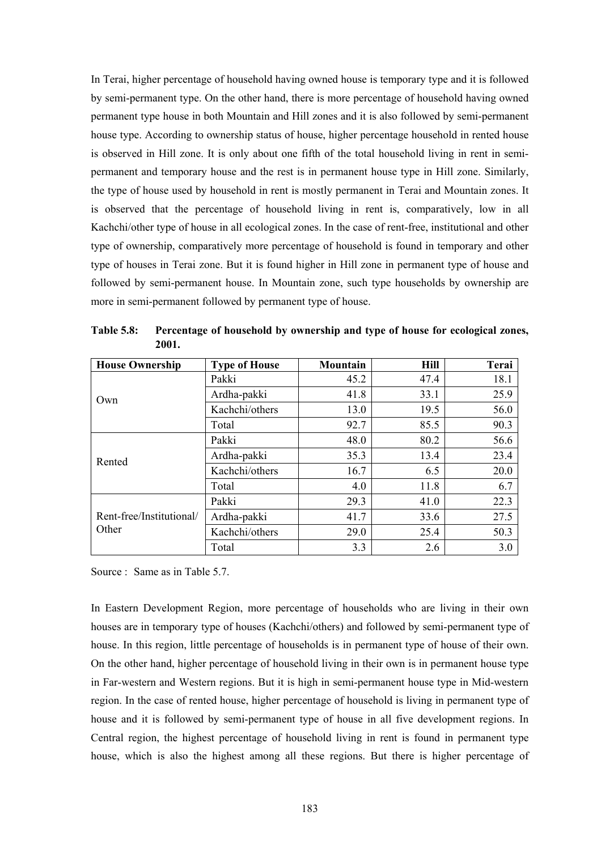In Terai, higher percentage of household having owned house is temporary type and it is followed by semi-permanent type. On the other hand, there is more percentage of household having owned permanent type house in both Mountain and Hill zones and it is also followed by semi-permanent house type. According to ownership status of house, higher percentage household in rented house is observed in Hill zone. It is only about one fifth of the total household living in rent in semipermanent and temporary house and the rest is in permanent house type in Hill zone. Similarly, the type of house used by household in rent is mostly permanent in Terai and Mountain zones. It is observed that the percentage of household living in rent is, comparatively, low in all Kachchi/other type of house in all ecological zones. In the case of rent-free, institutional and other type of ownership, comparatively more percentage of household is found in temporary and other type of houses in Terai zone. But it is found higher in Hill zone in permanent type of house and followed by semi-permanent house. In Mountain zone, such type households by ownership are more in semi-permanent followed by permanent type of house.

| <b>House Ownership</b>   | <b>Type of House</b> | Mountain | <b>Hill</b> | Terai |
|--------------------------|----------------------|----------|-------------|-------|
|                          | Pakki                | 45.2     | 47.4        | 18.1  |
| Own                      | Ardha-pakki          | 41.8     | 33.1        | 25.9  |
|                          | Kachchi/others       | 13.0     | 19.5        | 56.0  |
|                          | Total                | 92.7     | 85.5        | 90.3  |
|                          | Pakki                | 48.0     | 80.2        | 56.6  |
| Rented                   | Ardha-pakki          | 35.3     | 13.4        | 23.4  |
|                          | Kachchi/others       | 16.7     | 6.5         | 20.0  |
|                          | Total                | 4.0      | 11.8        | 6.7   |
|                          | Pakki                | 29.3     | 41.0        | 22.3  |
| Rent-free/Institutional/ | Ardha-pakki          | 41.7     | 33.6        | 27.5  |
| Other                    | Kachchi/others       | 29.0     | 25.4        | 50.3  |
|                          | Total                | 3.3      | 2.6         | 3.0   |

**Table 5.8: Percentage of household by ownership and type of house for ecological zones, 2001.** 

Source : Same as in Table 5.7.

In Eastern Development Region, more percentage of households who are living in their own houses are in temporary type of houses (Kachchi/others) and followed by semi-permanent type of house. In this region, little percentage of households is in permanent type of house of their own. On the other hand, higher percentage of household living in their own is in permanent house type in Far-western and Western regions. But it is high in semi-permanent house type in Mid-western region. In the case of rented house, higher percentage of household is living in permanent type of house and it is followed by semi-permanent type of house in all five development regions. In Central region, the highest percentage of household living in rent is found in permanent type house, which is also the highest among all these regions. But there is higher percentage of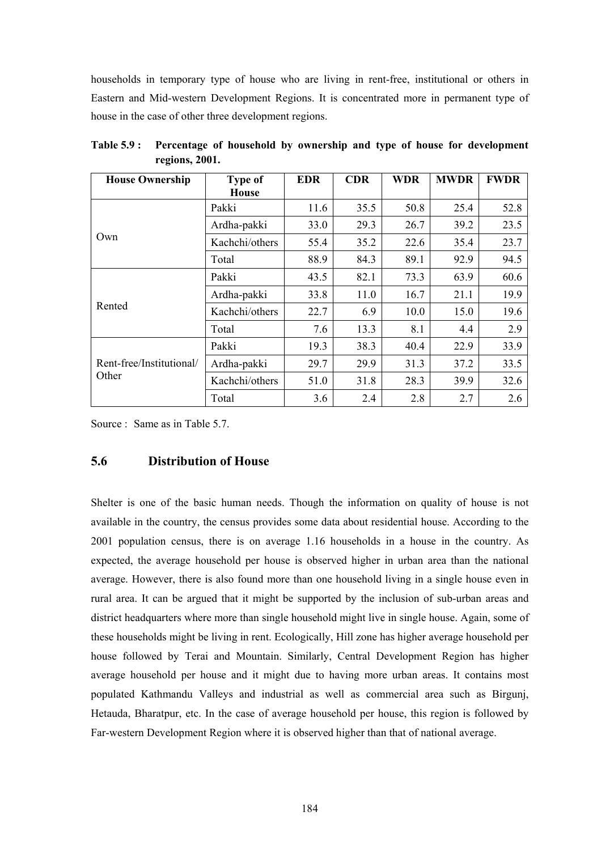households in temporary type of house who are living in rent-free, institutional or others in Eastern and Mid-western Development Regions. It is concentrated more in permanent type of house in the case of other three development regions.

| <b>House Ownership</b>   | <b>Type of</b> | <b>EDR</b> | <b>CDR</b> | <b>WDR</b> | <b>MWDR</b> | <b>FWDR</b> |
|--------------------------|----------------|------------|------------|------------|-------------|-------------|
|                          | <b>House</b>   |            |            |            |             |             |
|                          | Pakki          | 11.6       | 35.5       | 50.8       | 25.4        | 52.8        |
|                          | Ardha-pakki    | 33.0       | 29.3       | 26.7       | 39.2        | 23.5        |
| Own                      | Kachchi/others | 55.4       | 35.2       | 22.6       | 35.4        | 23.7        |
|                          | Total          | 88.9       | 84.3       | 89.1       | 92.9        | 94.5        |
|                          | Pakki          | 43.5       | 82.1       | 73.3       | 63.9        | 60.6        |
|                          | Ardha-pakki    | 33.8       | 11.0       | 16.7       | 21.1        | 19.9        |
| Rented                   | Kachchi/others | 22.7       | 6.9        | 10.0       | 15.0        | 19.6        |
|                          | Total          | 7.6        | 13.3       | 8.1        | 4.4         | 2.9         |
|                          | Pakki          | 19.3       | 38.3       | 40.4       | 22.9        | 33.9        |
| Rent-free/Institutional/ | Ardha-pakki    | 29.7       | 29.9       | 31.3       | 37.2        | 33.5        |
| Other                    | Kachchi/others | 51.0       | 31.8       | 28.3       | 39.9        | 32.6        |
|                          | Total          | 3.6        | 2.4        | 2.8        | 2.7         | 2.6         |

**Table 5.9 : Percentage of household by ownership and type of house for development regions, 2001.** 

Source : Same as in Table 5.7.

## **5.6 Distribution of House**

Shelter is one of the basic human needs. Though the information on quality of house is not available in the country, the census provides some data about residential house. According to the 2001 population census, there is on average 1.16 households in a house in the country. As expected, the average household per house is observed higher in urban area than the national average. However, there is also found more than one household living in a single house even in rural area. It can be argued that it might be supported by the inclusion of sub-urban areas and district headquarters where more than single household might live in single house. Again, some of these households might be living in rent. Ecologically, Hill zone has higher average household per house followed by Terai and Mountain. Similarly, Central Development Region has higher average household per house and it might due to having more urban areas. It contains most populated Kathmandu Valleys and industrial as well as commercial area such as Birgunj, Hetauda, Bharatpur, etc. In the case of average household per house, this region is followed by Far-western Development Region where it is observed higher than that of national average.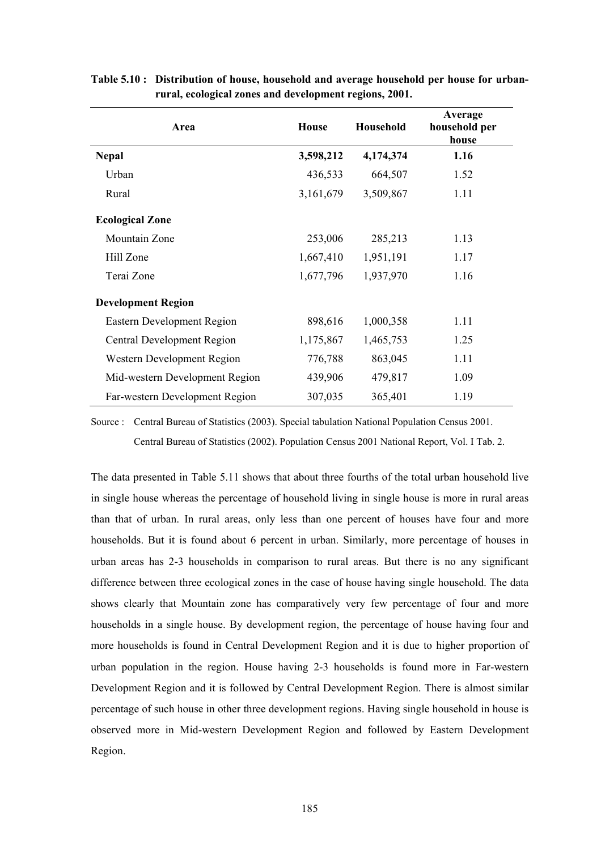| Area                           | <b>House</b> | Household | Average<br>household per<br>house |
|--------------------------------|--------------|-----------|-----------------------------------|
| <b>Nepal</b>                   | 3,598,212    | 4,174,374 | 1.16                              |
| Urban                          | 436,533      | 664,507   | 1.52                              |
| Rural                          | 3,161,679    | 3,509,867 | 1.11                              |
| <b>Ecological Zone</b>         |              |           |                                   |
| Mountain Zone                  | 253,006      | 285,213   | 1.13                              |
| Hill Zone                      | 1,667,410    | 1,951,191 | 1.17                              |
| Terai Zone                     | 1,677,796    | 1,937,970 | 1.16                              |
| <b>Development Region</b>      |              |           |                                   |
| Eastern Development Region     | 898,616      | 1,000,358 | 1.11                              |
| Central Development Region     | 1,175,867    | 1,465,753 | 1.25                              |
| Western Development Region     | 776,788      | 863,045   | 1.11                              |
| Mid-western Development Region | 439,906      | 479,817   | 1.09                              |
| Far-western Development Region | 307,035      | 365,401   | 1.19                              |

**Table 5.10 : Distribution of house, household and average household per house for urbanrural, ecological zones and development regions, 2001.** 

Source : Central Bureau of Statistics (2003). Special tabulation National Population Census 2001. Central Bureau of Statistics (2002). Population Census 2001 National Report, Vol. I Tab. 2.

The data presented in Table 5.11 shows that about three fourths of the total urban household live in single house whereas the percentage of household living in single house is more in rural areas than that of urban. In rural areas, only less than one percent of houses have four and more households. But it is found about 6 percent in urban. Similarly, more percentage of houses in urban areas has 2-3 households in comparison to rural areas. But there is no any significant difference between three ecological zones in the case of house having single household. The data shows clearly that Mountain zone has comparatively very few percentage of four and more households in a single house. By development region, the percentage of house having four and more households is found in Central Development Region and it is due to higher proportion of urban population in the region. House having 2-3 households is found more in Far-western Development Region and it is followed by Central Development Region. There is almost similar percentage of such house in other three development regions. Having single household in house is observed more in Mid-western Development Region and followed by Eastern Development Region.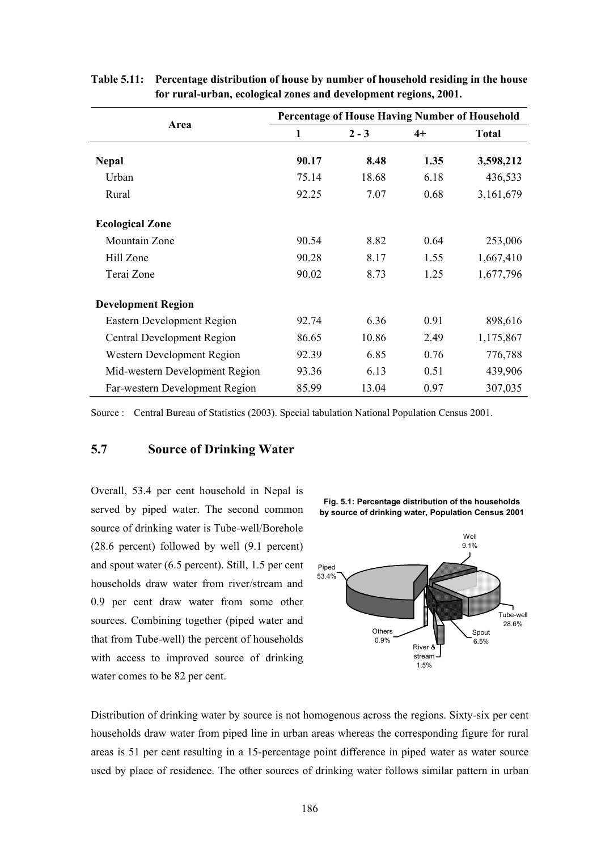|                                   | <b>Percentage of House Having Number of Household</b> |         |      |              |  |  |  |
|-----------------------------------|-------------------------------------------------------|---------|------|--------------|--|--|--|
| Area                              | 1                                                     | $2 - 3$ | $4+$ | <b>Total</b> |  |  |  |
| <b>Nepal</b>                      | 90.17                                                 | 8.48    | 1.35 | 3,598,212    |  |  |  |
| Urban                             | 75.14                                                 | 18.68   | 6.18 | 436,533      |  |  |  |
| Rural                             | 92.25                                                 | 7.07    | 0.68 | 3,161,679    |  |  |  |
| <b>Ecological Zone</b>            |                                                       |         |      |              |  |  |  |
| Mountain Zone                     | 90.54                                                 | 8.82    | 0.64 | 253,006      |  |  |  |
| Hill Zone                         | 90.28                                                 | 8.17    | 1.55 | 1,667,410    |  |  |  |
| Terai Zone                        | 90.02                                                 | 8.73    | 1.25 | 1,677,796    |  |  |  |
| <b>Development Region</b>         |                                                       |         |      |              |  |  |  |
| <b>Eastern Development Region</b> | 92.74                                                 | 6.36    | 0.91 | 898,616      |  |  |  |
| Central Development Region        | 86.65                                                 | 10.86   | 2.49 | 1,175,867    |  |  |  |
| Western Development Region        | 92.39                                                 | 6.85    | 0.76 | 776,788      |  |  |  |
| Mid-western Development Region    | 93.36                                                 | 6.13    | 0.51 | 439,906      |  |  |  |
| Far-western Development Region    | 85.99                                                 | 13.04   | 0.97 | 307,035      |  |  |  |

**Table 5.11: Percentage distribution of house by number of household residing in the house for rural-urban, ecological zones and development regions, 2001.** 

Source : Central Bureau of Statistics (2003). Special tabulation National Population Census 2001.

#### **5.7 Source of Drinking Water**

Overall, 53.4 per cent household in Nepal is served by piped water. The second common source of drinking water is Tube-well/Borehole (28.6 percent) followed by well (9.1 percent) and spout water (6.5 percent). Still, 1.5 per cent households draw water from river/stream and 0.9 per cent draw water from some other sources. Combining together (piped water and that from Tube-well) the percent of households with access to improved source of drinking water comes to be 82 per cent.



**Fig. 5.1: Percentage distribution of the households by source of drinking water, Population Census 2001**

Distribution of drinking water by source is not homogenous across the regions. Sixty-six per cent households draw water from piped line in urban areas whereas the corresponding figure for rural areas is 51 per cent resulting in a 15-percentage point difference in piped water as water source used by place of residence. The other sources of drinking water follows similar pattern in urban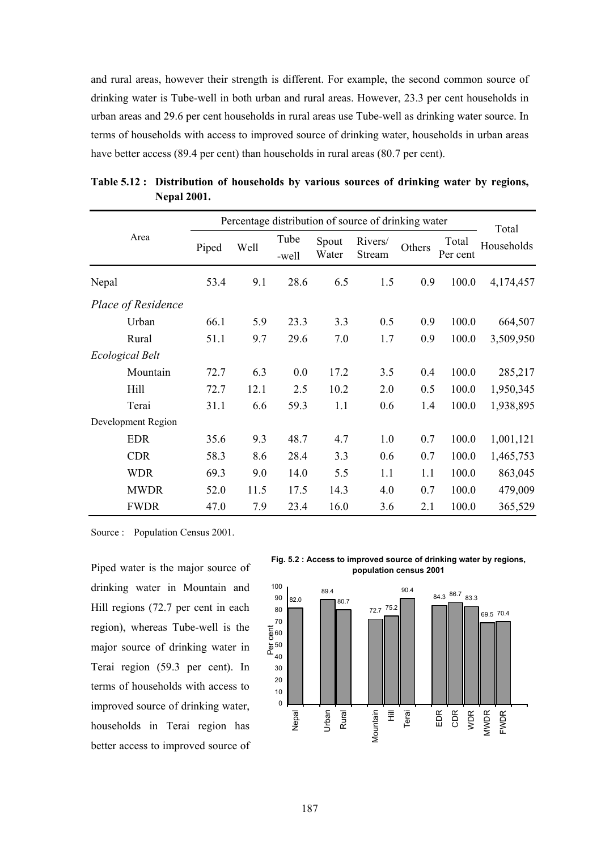and rural areas, however their strength is different. For example, the second common source of drinking water is Tube-well in both urban and rural areas. However, 23.3 per cent households in urban areas and 29.6 per cent households in rural areas use Tube-well as drinking water source. In terms of households with access to improved source of drinking water, households in urban areas have better access (89.4 per cent) than households in rural areas (80.7 per cent).

|                    | Percentage distribution of source of drinking water |      |               |                |                   |        |                   | Total      |
|--------------------|-----------------------------------------------------|------|---------------|----------------|-------------------|--------|-------------------|------------|
| Area               | Piped                                               | Well | Tube<br>-well | Spout<br>Water | Rivers/<br>Stream | Others | Total<br>Per cent | Households |
| Nepal              | 53.4                                                | 9.1  | 28.6          | 6.5            | 1.5               | 0.9    | 100.0             | 4,174,457  |
| Place of Residence |                                                     |      |               |                |                   |        |                   |            |
| Urban              | 66.1                                                | 5.9  | 23.3          | 3.3            | 0.5               | 0.9    | 100.0             | 664,507    |
| Rural              | 51.1                                                | 9.7  | 29.6          | 7.0            | 1.7               | 0.9    | 100.0             | 3,509,950  |
| Ecological Belt    |                                                     |      |               |                |                   |        |                   |            |
| Mountain           | 72.7                                                | 6.3  | 0.0           | 17.2           | 3.5               | 0.4    | 100.0             | 285,217    |
| Hill               | 72.7                                                | 12.1 | 2.5           | 10.2           | 2.0               | 0.5    | 100.0             | 1,950,345  |
| Terai              | 31.1                                                | 6.6  | 59.3          | 1.1            | 0.6               | 1.4    | 100.0             | 1,938,895  |
| Development Region |                                                     |      |               |                |                   |        |                   |            |
| <b>EDR</b>         | 35.6                                                | 9.3  | 48.7          | 4.7            | 1.0               | 0.7    | 100.0             | 1,001,121  |
| <b>CDR</b>         | 58.3                                                | 8.6  | 28.4          | 3.3            | 0.6               | 0.7    | 100.0             | 1,465,753  |
| <b>WDR</b>         | 69.3                                                | 9.0  | 14.0          | 5.5            | 1.1               | 1.1    | 100.0             | 863,045    |
| <b>MWDR</b>        | 52.0                                                | 11.5 | 17.5          | 14.3           | 4.0               | 0.7    | 100.0             | 479,009    |
| <b>FWDR</b>        | 47.0                                                | 7.9  | 23.4          | 16.0           | 3.6               | 2.1    | 100.0             | 365,529    |

**Table 5.12 : Distribution of households by various sources of drinking water by regions, Nepal 2001.** 

Source : Population Census 2001.

Piped water is the major source of drinking water in Mountain and Hill regions (72.7 per cent in each region), whereas Tube-well is the major source of drinking water in Terai region (59.3 per cent). In terms of households with access to improved source of drinking water, households in Terai region has better access to improved source of

**Fig. 5.2 : Access to improved source of drinking water by regions, population census 2001**

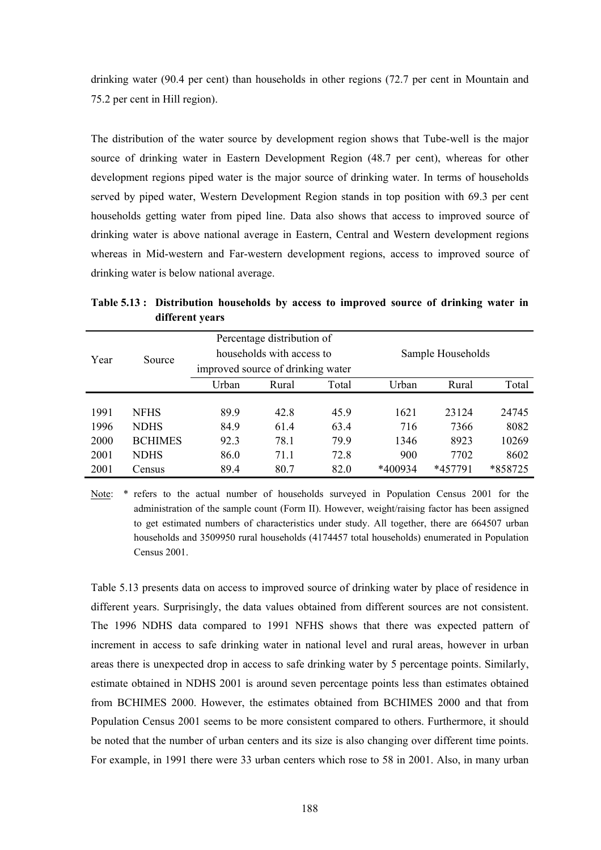drinking water (90.4 per cent) than households in other regions (72.7 per cent in Mountain and 75.2 per cent in Hill region).

The distribution of the water source by development region shows that Tube-well is the major source of drinking water in Eastern Development Region (48.7 per cent), whereas for other development regions piped water is the major source of drinking water. In terms of households served by piped water, Western Development Region stands in top position with 69.3 per cent households getting water from piped line. Data also shows that access to improved source of drinking water is above national average in Eastern, Central and Western development regions whereas in Mid-western and Far-western development regions, access to improved source of drinking water is below national average.

| Year | Source         | improved source of drinking water | Percentage distribution of<br>households with access to |       | Sample Households |         |         |  |
|------|----------------|-----------------------------------|---------------------------------------------------------|-------|-------------------|---------|---------|--|
|      |                | Urban                             | Rural                                                   | Total | Urban             | Rural   | Total   |  |
|      |                |                                   |                                                         |       |                   |         |         |  |
| 1991 | <b>NFHS</b>    | 89.9                              | 42.8                                                    | 45.9  | 1621              | 23124   | 24745   |  |
| 1996 | <b>NDHS</b>    | 84.9                              | 61.4                                                    | 63.4  | 716               | 7366    | 8082    |  |
| 2000 | <b>BCHIMES</b> | 92.3                              | 78.1                                                    | 79.9  | 1346              | 8923    | 10269   |  |
| 2001 | <b>NDHS</b>    | 86.0                              | 71.1                                                    | 72.8  | 900               | 7702    | 8602    |  |
| 2001 | Census         | 89.4                              | 80.7                                                    | 82.0  | *400934           | *457791 | *858725 |  |

**Table 5.13 : Distribution households by access to improved source of drinking water in different years** 

Note: \* refers to the actual number of households surveyed in Population Census 2001 for the administration of the sample count (Form II). However, weight/raising factor has been assigned to get estimated numbers of characteristics under study. All together, there are 664507 urban households and 3509950 rural households (4174457 total households) enumerated in Population Census 2001.

Table 5.13 presents data on access to improved source of drinking water by place of residence in different years. Surprisingly, the data values obtained from different sources are not consistent. The 1996 NDHS data compared to 1991 NFHS shows that there was expected pattern of increment in access to safe drinking water in national level and rural areas, however in urban areas there is unexpected drop in access to safe drinking water by 5 percentage points. Similarly, estimate obtained in NDHS 2001 is around seven percentage points less than estimates obtained from BCHIMES 2000. However, the estimates obtained from BCHIMES 2000 and that from Population Census 2001 seems to be more consistent compared to others. Furthermore, it should be noted that the number of urban centers and its size is also changing over different time points. For example, in 1991 there were 33 urban centers which rose to 58 in 2001. Also, in many urban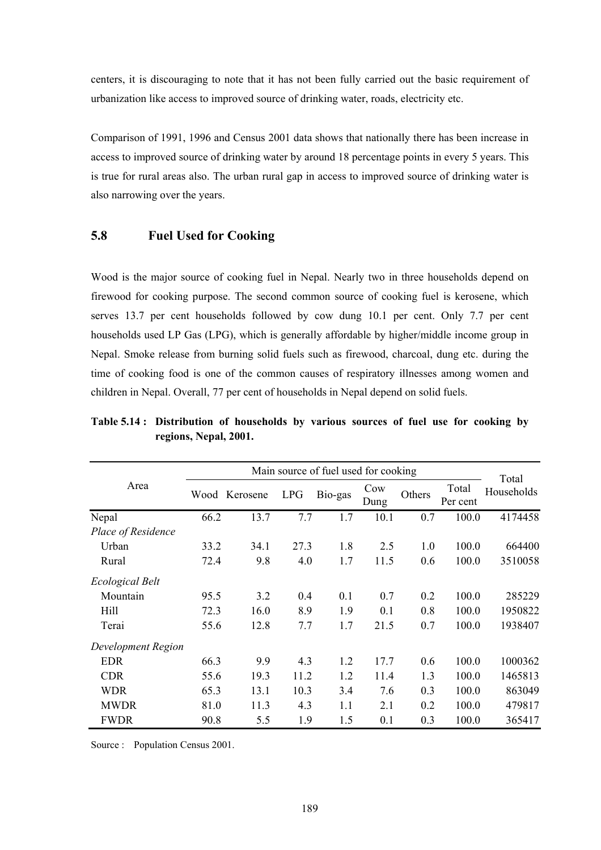centers, it is discouraging to note that it has not been fully carried out the basic requirement of urbanization like access to improved source of drinking water, roads, electricity etc.

Comparison of 1991, 1996 and Census 2001 data shows that nationally there has been increase in access to improved source of drinking water by around 18 percentage points in every 5 years. This is true for rural areas also. The urban rural gap in access to improved source of drinking water is also narrowing over the years.

#### **5.8 Fuel Used for Cooking**

Wood is the major source of cooking fuel in Nepal. Nearly two in three households depend on firewood for cooking purpose. The second common source of cooking fuel is kerosene, which serves 13.7 per cent households followed by cow dung 10.1 per cent. Only 7.7 per cent households used LP Gas (LPG), which is generally affordable by higher/middle income group in Nepal. Smoke release from burning solid fuels such as firewood, charcoal, dung etc. during the time of cooking food is one of the common causes of respiratory illnesses among women and children in Nepal. Overall, 77 per cent of households in Nepal depend on solid fuels.

|                    |      |          |            | Main source of fuel used for cooking |             |        |                   | Total      |
|--------------------|------|----------|------------|--------------------------------------|-------------|--------|-------------------|------------|
| Area               | Wood | Kerosene | <b>LPG</b> | Bio-gas                              | Cow<br>Dung | Others | Total<br>Per cent | Households |
| Nepal              | 66.2 | 13.7     | 7.7        | 1.7                                  | 10.1        | 0.7    | 100.0             | 4174458    |
| Place of Residence |      |          |            |                                      |             |        |                   |            |
| Urban              | 33.2 | 34.1     | 27.3       | 1.8                                  | 2.5         | 1.0    | 100.0             | 664400     |
| Rural              | 72.4 | 9.8      | 4.0        | 1.7                                  | 11.5        | 0.6    | 100.0             | 3510058    |
| Ecological Belt    |      |          |            |                                      |             |        |                   |            |
| Mountain           | 95.5 | 3.2      | 0.4        | 0.1                                  | 0.7         | 0.2    | 100.0             | 285229     |
| Hill               | 72.3 | 16.0     | 8.9        | 1.9                                  | 0.1         | 0.8    | 100.0             | 1950822    |
| Terai              | 55.6 | 12.8     | 7.7        | 1.7                                  | 21.5        | 0.7    | 100.0             | 1938407    |
| Development Region |      |          |            |                                      |             |        |                   |            |
| <b>EDR</b>         | 66.3 | 9.9      | 4.3        | 1.2                                  | 17.7        | 0.6    | 100.0             | 1000362    |
| <b>CDR</b>         | 55.6 | 19.3     | 11.2       | 1.2                                  | 11.4        | 1.3    | 100.0             | 1465813    |
| <b>WDR</b>         | 65.3 | 13.1     | 10.3       | 3.4                                  | 7.6         | 0.3    | 100.0             | 863049     |
| <b>MWDR</b>        | 81.0 | 11.3     | 4.3        | 1.1                                  | 2.1         | 0.2    | 100.0             | 479817     |
| <b>FWDR</b>        | 90.8 | 5.5      | 1.9        | 1.5                                  | 0.1         | 0.3    | 100.0             | 365417     |

**Table 5.14 : Distribution of households by various sources of fuel use for cooking by regions, Nepal, 2001.** 

Source : Population Census 2001.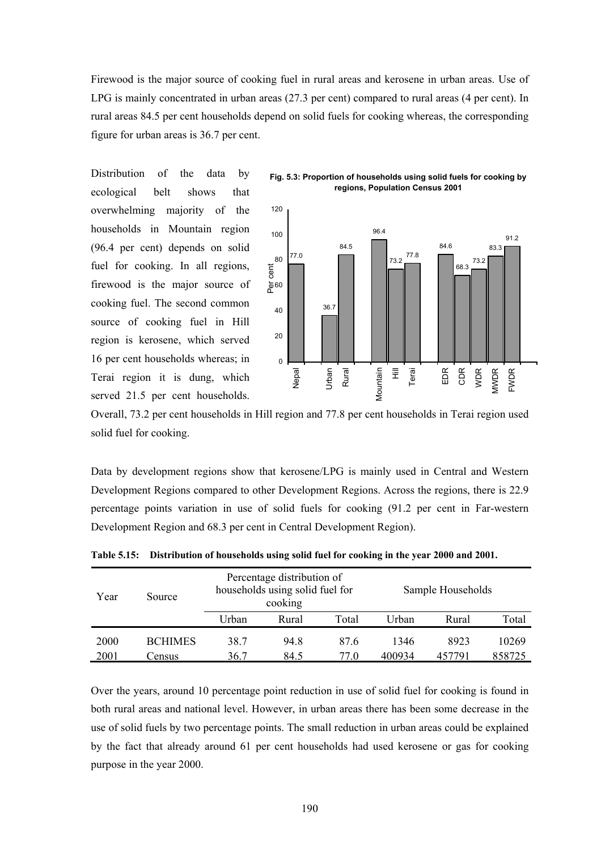Firewood is the major source of cooking fuel in rural areas and kerosene in urban areas. Use of LPG is mainly concentrated in urban areas  $(27.3 \text{ per cent})$  compared to rural areas  $(4 \text{ per cent})$ . In rural areas 84.5 per cent households depend on solid fuels for cooking whereas, the corresponding figure for urban areas is 36.7 per cent.

Distribution of the data by ecological belt shows that overwhelming majority of the households in Mountain region (96.4 per cent) depends on solid fuel for cooking. In all regions, firewood is the major source of cooking fuel. The second common source of cooking fuel in Hill region is kerosene, which served 16 per cent households whereas; in Terai region it is dung, which served 21.5 per cent households.

**Fig. 5.3: Proportion of households using solid fuels for cooking by regions, Population Census 2001**



Overall, 73.2 per cent households in Hill region and 77.8 per cent households in Terai region used solid fuel for cooking.

Data by development regions show that kerosene/LPG is mainly used in Central and Western Development Regions compared to other Development Regions. Across the regions, there is 22.9 percentage points variation in use of solid fuels for cooking (91.2 per cent in Far-western Development Region and 68.3 per cent in Central Development Region).

| Year         | Source                   |              | Percentage distribution of<br>households using solid fuel for<br>cooking |              | Sample Households |                |                 |  |
|--------------|--------------------------|--------------|--------------------------------------------------------------------------|--------------|-------------------|----------------|-----------------|--|
|              |                          | Urban        | Rural                                                                    | Total        | Urban)            | Rural          | Total           |  |
| 2000<br>2001 | <b>BCHIMES</b><br>Census | 38.7<br>36.7 | 94.8<br>84.5                                                             | 87.6<br>77.0 | 1346<br>400934    | 8923<br>457791 | 10269<br>858725 |  |

**Table 5.15: Distribution of households using solid fuel for cooking in the year 2000 and 2001.** 

Over the years, around 10 percentage point reduction in use of solid fuel for cooking is found in both rural areas and national level. However, in urban areas there has been some decrease in the use of solid fuels by two percentage points. The small reduction in urban areas could be explained by the fact that already around 61 per cent households had used kerosene or gas for cooking purpose in the year 2000.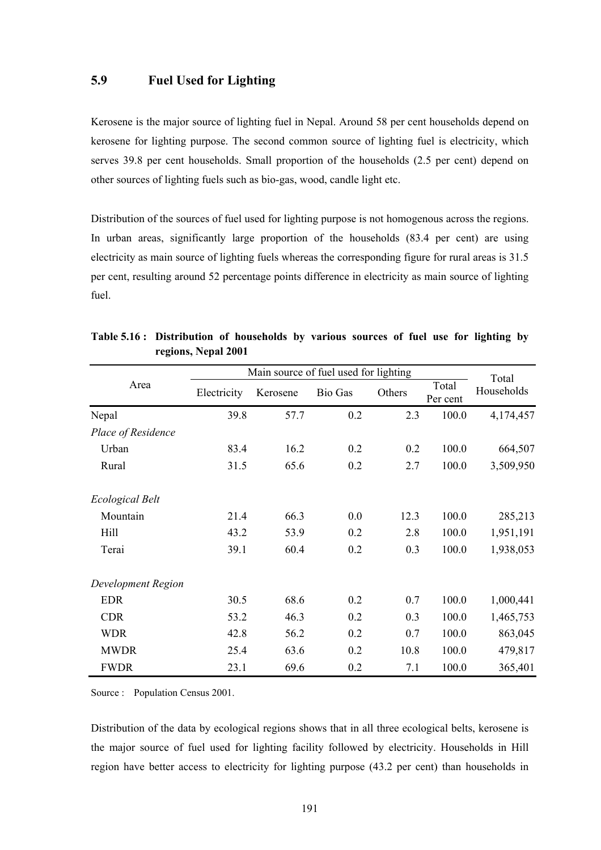#### **5.9 Fuel Used for Lighting**

Kerosene is the major source of lighting fuel in Nepal. Around 58 per cent households depend on kerosene for lighting purpose. The second common source of lighting fuel is electricity, which serves 39.8 per cent households. Small proportion of the households (2.5 per cent) depend on other sources of lighting fuels such as bio-gas, wood, candle light etc.

Distribution of the sources of fuel used for lighting purpose is not homogenous across the regions. In urban areas, significantly large proportion of the households (83.4 per cent) are using electricity as main source of lighting fuels whereas the corresponding figure for rural areas is 31.5 per cent, resulting around 52 percentage points difference in electricity as main source of lighting fuel.

|                        |             |          | Main source of fuel used for lighting |        |                   |                     |
|------------------------|-------------|----------|---------------------------------------|--------|-------------------|---------------------|
| Area                   | Electricity | Kerosene | <b>Bio Gas</b>                        | Others | Total<br>Per cent | Total<br>Households |
| Nepal                  | 39.8        | 57.7     | 0.2                                   | 2.3    | 100.0             | 4,174,457           |
| Place of Residence     |             |          |                                       |        |                   |                     |
| Urban                  | 83.4        | 16.2     | 0.2                                   | 0.2    | 100.0             | 664,507             |
| Rural                  | 31.5        | 65.6     | 0.2                                   | 2.7    | 100.0             | 3,509,950           |
| <b>Ecological Belt</b> |             |          |                                       |        |                   |                     |
| Mountain               | 21.4        | 66.3     | 0.0                                   | 12.3   | 100.0             | 285,213             |
| Hill                   | 43.2        | 53.9     | 0.2                                   | 2.8    | 100.0             | 1,951,191           |
| Terai                  | 39.1        | 60.4     | 0.2                                   | 0.3    | 100.0             | 1,938,053           |
| Development Region     |             |          |                                       |        |                   |                     |
| <b>EDR</b>             | 30.5        | 68.6     | 0.2                                   | 0.7    | 100.0             | 1,000,441           |
| <b>CDR</b>             | 53.2        | 46.3     | 0.2                                   | 0.3    | 100.0             | 1,465,753           |
| <b>WDR</b>             | 42.8        | 56.2     | 0.2                                   | 0.7    | 100.0             | 863,045             |
| <b>MWDR</b>            | 25.4        | 63.6     | 0.2                                   | 10.8   | 100.0             | 479,817             |
| <b>FWDR</b>            | 23.1        | 69.6     | 0.2                                   | 7.1    | 100.0             | 365,401             |

| Table 5.16: Distribution of households by various sources of fuel use for lighting by |  |  |  |  |  |  |
|---------------------------------------------------------------------------------------|--|--|--|--|--|--|
| regions, Nepal 2001                                                                   |  |  |  |  |  |  |

Source : Population Census 2001.

Distribution of the data by ecological regions shows that in all three ecological belts, kerosene is the major source of fuel used for lighting facility followed by electricity. Households in Hill region have better access to electricity for lighting purpose (43.2 per cent) than households in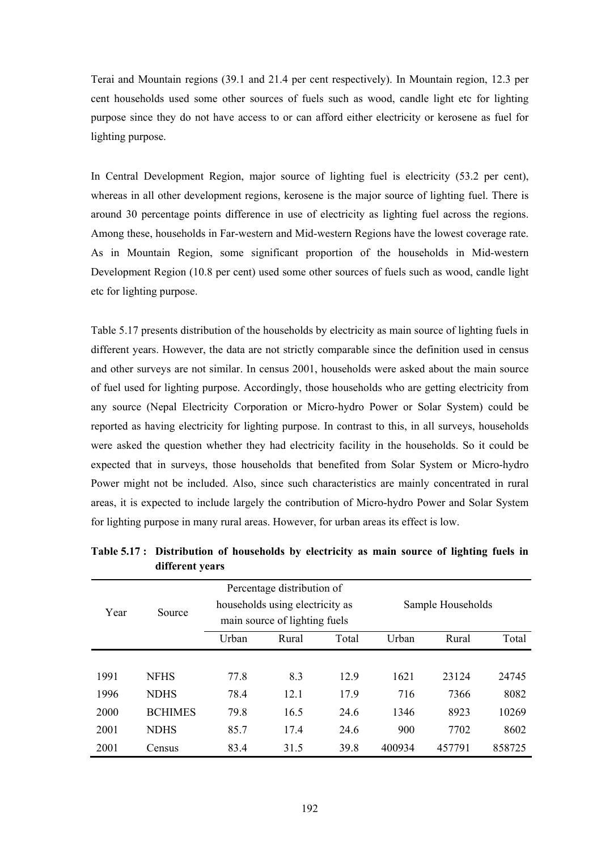Terai and Mountain regions (39.1 and 21.4 per cent respectively). In Mountain region, 12.3 per cent households used some other sources of fuels such as wood, candle light etc for lighting purpose since they do not have access to or can afford either electricity or kerosene as fuel for lighting purpose.

In Central Development Region, major source of lighting fuel is electricity (53.2 per cent), whereas in all other development regions, kerosene is the major source of lighting fuel. There is around 30 percentage points difference in use of electricity as lighting fuel across the regions. Among these, households in Far-western and Mid-western Regions have the lowest coverage rate. As in Mountain Region, some significant proportion of the households in Mid-western Development Region (10.8 per cent) used some other sources of fuels such as wood, candle light etc for lighting purpose.

Table 5.17 presents distribution of the households by electricity as main source of lighting fuels in different years. However, the data are not strictly comparable since the definition used in census and other surveys are not similar. In census 2001, households were asked about the main source of fuel used for lighting purpose. Accordingly, those households who are getting electricity from any source (Nepal Electricity Corporation or Micro-hydro Power or Solar System) could be reported as having electricity for lighting purpose. In contrast to this, in all surveys, households were asked the question whether they had electricity facility in the households. So it could be expected that in surveys, those households that benefited from Solar System or Micro-hydro Power might not be included. Also, since such characteristics are mainly concentrated in rural areas, it is expected to include largely the contribution of Micro-hydro Power and Solar System for lighting purpose in many rural areas. However, for urban areas its effect is low.

| Year | Source         |       | Percentage distribution of<br>households using electricity as<br>main source of lighting fuels |       | Sample Households |        |        |
|------|----------------|-------|------------------------------------------------------------------------------------------------|-------|-------------------|--------|--------|
|      |                | Urban | Rural                                                                                          | Total | Urban             | Rural  | Total  |
|      |                |       |                                                                                                |       |                   |        |        |
| 1991 | <b>NFHS</b>    | 77.8  | 8.3                                                                                            | 12.9  | 1621              | 23124  | 24745  |
| 1996 | <b>NDHS</b>    | 78.4  | 12.1                                                                                           | 17.9  | 716               | 7366   | 8082   |
| 2000 | <b>BCHIMES</b> | 79.8  | 16.5                                                                                           | 24.6  | 1346              | 8923   | 10269  |
| 2001 | <b>NDHS</b>    | 85.7  | 17.4                                                                                           | 24.6  | 900               | 7702   | 8602   |
| 2001 | Census         | 83.4  | 31.5                                                                                           | 39.8  | 400934            | 457791 | 858725 |

**Table 5.17 : Distribution of households by electricity as main source of lighting fuels in different years**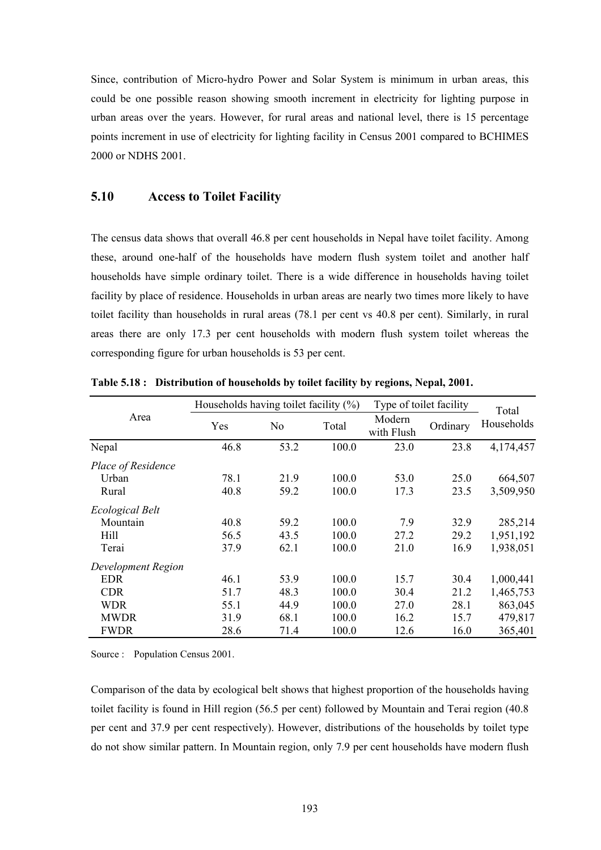Since, contribution of Micro-hydro Power and Solar System is minimum in urban areas, this could be one possible reason showing smooth increment in electricity for lighting purpose in urban areas over the years. However, for rural areas and national level, there is 15 percentage points increment in use of electricity for lighting facility in Census 2001 compared to BCHIMES 2000 or NDHS 2001.

#### **5.10 Access to Toilet Facility**

The census data shows that overall 46.8 per cent households in Nepal have toilet facility. Among these, around one-half of the households have modern flush system toilet and another half households have simple ordinary toilet. There is a wide difference in households having toilet facility by place of residence. Households in urban areas are nearly two times more likely to have toilet facility than households in rural areas (78.1 per cent vs 40.8 per cent). Similarly, in rural areas there are only 17.3 per cent households with modern flush system toilet whereas the corresponding figure for urban households is 53 per cent.

|                    | Households having toilet facility $(\%)$ |      |       | Type of toilet facility |          | Total      |
|--------------------|------------------------------------------|------|-------|-------------------------|----------|------------|
| Area               | Yes                                      | No   | Total | Modern<br>with Flush    | Ordinary | Households |
| Nepal              | 46.8                                     | 53.2 | 100.0 | 23.0                    | 23.8     | 4,174,457  |
| Place of Residence |                                          |      |       |                         |          |            |
| Urban              | 78.1                                     | 21.9 | 100.0 | 53.0                    | 25.0     | 664,507    |
| Rural              | 40.8                                     | 59.2 | 100.0 | 17.3                    | 23.5     | 3,509,950  |
| Ecological Belt    |                                          |      |       |                         |          |            |
| Mountain           | 40.8                                     | 59.2 | 100.0 | 7.9                     | 32.9     | 285,214    |
| Hill               | 56.5                                     | 43.5 | 100.0 | 27.2                    | 29.2     | 1,951,192  |
| Terai              | 37.9                                     | 62.1 | 100.0 | 21.0                    | 16.9     | 1,938,051  |
| Development Region |                                          |      |       |                         |          |            |
| <b>EDR</b>         | 46.1                                     | 53.9 | 100.0 | 15.7                    | 30.4     | 1,000,441  |
| <b>CDR</b>         | 51.7                                     | 48.3 | 100.0 | 30.4                    | 21.2     | 1,465,753  |
| WDR                | 55.1                                     | 44.9 | 100.0 | 27.0                    | 28.1     | 863,045    |
| <b>MWDR</b>        | 31.9                                     | 68.1 | 100.0 | 16.2                    | 15.7     | 479,817    |
| <b>FWDR</b>        | 28.6                                     | 71.4 | 100.0 | 12.6                    | 16.0     | 365,401    |

**Table 5.18 : Distribution of households by toilet facility by regions, Nepal, 2001.** 

Source : Population Census 2001.

Comparison of the data by ecological belt shows that highest proportion of the households having toilet facility is found in Hill region (56.5 per cent) followed by Mountain and Terai region (40.8 per cent and 37.9 per cent respectively). However, distributions of the households by toilet type do not show similar pattern. In Mountain region, only 7.9 per cent households have modern flush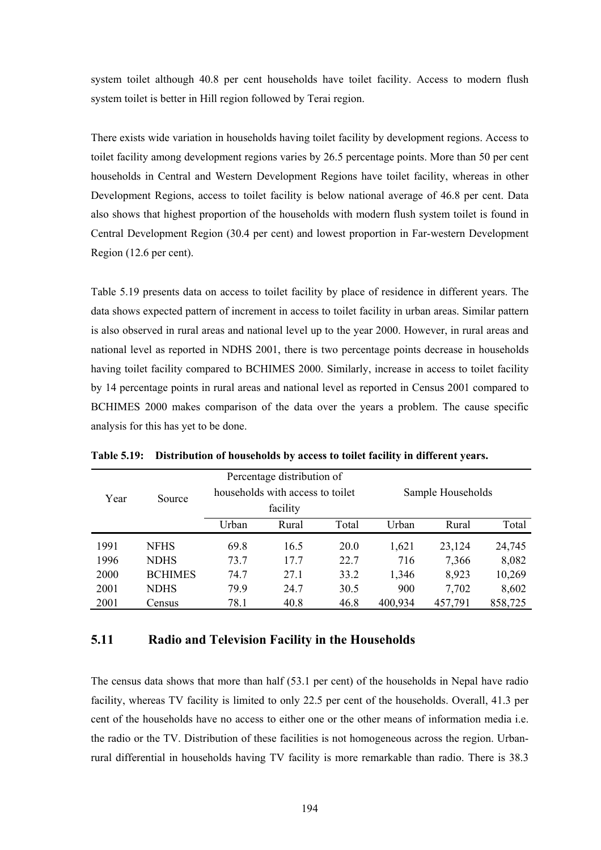system toilet although 40.8 per cent households have toilet facility. Access to modern flush system toilet is better in Hill region followed by Terai region.

There exists wide variation in households having toilet facility by development regions. Access to toilet facility among development regions varies by 26.5 percentage points. More than 50 per cent households in Central and Western Development Regions have toilet facility, whereas in other Development Regions, access to toilet facility is below national average of 46.8 per cent. Data also shows that highest proportion of the households with modern flush system toilet is found in Central Development Region (30.4 per cent) and lowest proportion in Far-western Development Region (12.6 per cent).

Table 5.19 presents data on access to toilet facility by place of residence in different years. The data shows expected pattern of increment in access to toilet facility in urban areas. Similar pattern is also observed in rural areas and national level up to the year 2000. However, in rural areas and national level as reported in NDHS 2001, there is two percentage points decrease in households having toilet facility compared to BCHIMES 2000. Similarly, increase in access to toilet facility by 14 percentage points in rural areas and national level as reported in Census 2001 compared to BCHIMES 2000 makes comparison of the data over the years a problem. The cause specific analysis for this has yet to be done.

|      |                |       | Percentage distribution of       |       |                   |         |         |  |
|------|----------------|-------|----------------------------------|-------|-------------------|---------|---------|--|
| Year | Source         |       | households with access to toilet |       | Sample Households |         |         |  |
|      |                |       | facility                         |       |                   |         |         |  |
|      |                | Urban | Rural                            | Total | Urban             | Rural   | Total   |  |
| 1991 | <b>NFHS</b>    | 69.8  | 16.5                             | 20.0  | 1,621             | 23,124  | 24,745  |  |
| 1996 | <b>NDHS</b>    | 73.7  | 17.7                             | 22.7  | 716               | 7,366   | 8,082   |  |
| 2000 | <b>BCHIMES</b> | 74.7  | 27.1                             | 33.2  | 1,346             | 8,923   | 10,269  |  |
| 2001 | NDHS           | 79.9  | 24.7                             | 30.5  | 900               | 7,702   | 8,602   |  |
| 2001 | Census         | 78.1  | 40.8                             | 46.8  | 400,934           | 457,791 | 858,725 |  |

**Table 5.19: Distribution of households by access to toilet facility in different years.** 

#### **5.11 Radio and Television Facility in the Households**

The census data shows that more than half (53.1 per cent) of the households in Nepal have radio facility, whereas TV facility is limited to only 22.5 per cent of the households. Overall, 41.3 per cent of the households have no access to either one or the other means of information media i.e. the radio or the TV. Distribution of these facilities is not homogeneous across the region. Urbanrural differential in households having TV facility is more remarkable than radio. There is 38.3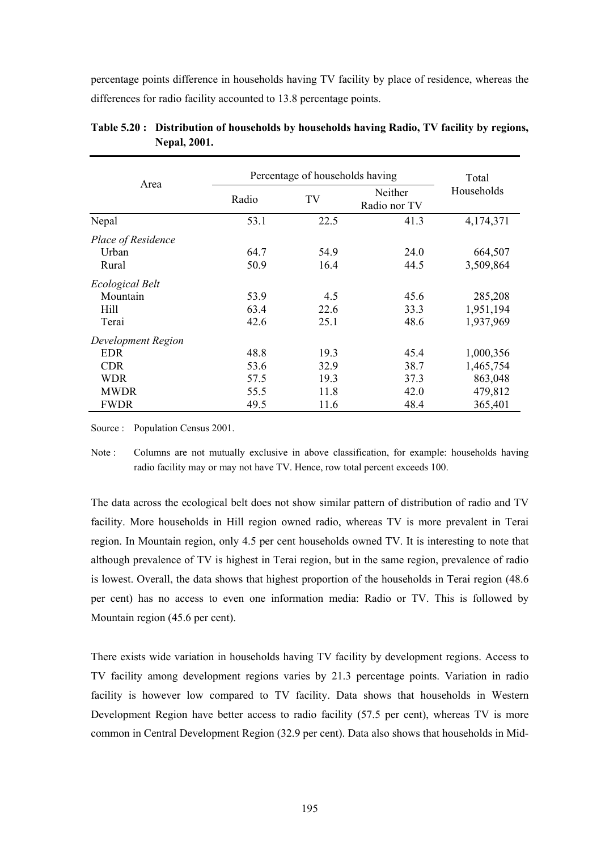percentage points difference in households having TV facility by place of residence, whereas the differences for radio facility accounted to 13.8 percentage points.

|                    |       | Percentage of households having |                         | Total<br>Households |  |
|--------------------|-------|---------------------------------|-------------------------|---------------------|--|
| Area               | Radio | TV                              | Neither<br>Radio nor TV |                     |  |
| Nepal              | 53.1  | 22.5                            | 41.3                    | 4,174,371           |  |
| Place of Residence |       |                                 |                         |                     |  |
| Urban              | 64.7  | 54.9                            | 24.0                    | 664,507             |  |
| Rural              | 50.9  | 16.4                            | 44.5                    | 3,509,864           |  |
| Ecological Belt    |       |                                 |                         |                     |  |
| Mountain           | 53.9  | 4.5                             | 45.6                    | 285,208             |  |
| Hill               | 63.4  | 22.6                            | 33.3                    | 1,951,194           |  |
| Terai              | 42.6  | 25.1                            | 48.6                    | 1,937,969           |  |
| Development Region |       |                                 |                         |                     |  |
| <b>EDR</b>         | 48.8  | 19.3                            | 45.4                    | 1,000,356           |  |
| <b>CDR</b>         | 53.6  | 32.9                            | 38.7                    | 1,465,754           |  |
| <b>WDR</b>         | 57.5  | 19.3                            | 37.3                    | 863,048             |  |
| <b>MWDR</b>        | 55.5  | 11.8                            | 42.0                    | 479,812             |  |
| <b>FWDR</b>        | 49.5  | 11.6                            | 48.4                    | 365,401             |  |

**Table 5.20 : Distribution of households by households having Radio, TV facility by regions, Nepal, 2001.** 

Source : Population Census 2001.

Note : Columns are not mutually exclusive in above classification, for example: households having radio facility may or may not have TV. Hence, row total percent exceeds 100.

The data across the ecological belt does not show similar pattern of distribution of radio and TV facility. More households in Hill region owned radio, whereas TV is more prevalent in Terai region. In Mountain region, only 4.5 per cent households owned TV. It is interesting to note that although prevalence of TV is highest in Terai region, but in the same region, prevalence of radio is lowest. Overall, the data shows that highest proportion of the households in Terai region (48.6 per cent) has no access to even one information media: Radio or TV. This is followed by Mountain region (45.6 per cent).

There exists wide variation in households having TV facility by development regions. Access to TV facility among development regions varies by 21.3 percentage points. Variation in radio facility is however low compared to TV facility. Data shows that households in Western Development Region have better access to radio facility (57.5 per cent), whereas TV is more common in Central Development Region (32.9 per cent). Data also shows that households in Mid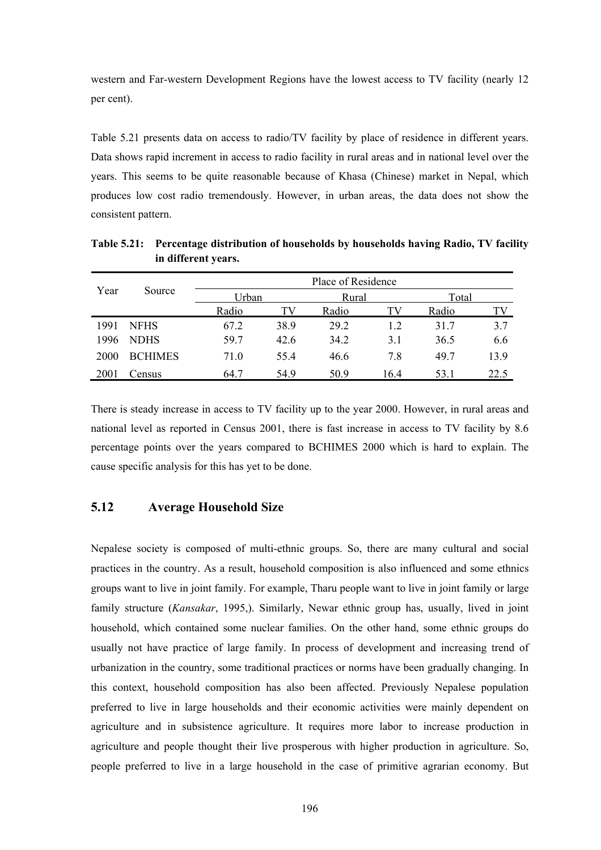western and Far-western Development Regions have the lowest access to TV facility (nearly 12 per cent).

Table 5.21 presents data on access to radio/TV facility by place of residence in different years. Data shows rapid increment in access to radio facility in rural areas and in national level over the years. This seems to be quite reasonable because of Khasa (Chinese) market in Nepal, which produces low cost radio tremendously. However, in urban areas, the data does not show the consistent pattern.

|      | Source         | Place of Residence |      |       |      |       |      |  |  |
|------|----------------|--------------------|------|-------|------|-------|------|--|--|
| Year |                | Urban              |      | Rural |      | Total |      |  |  |
|      |                | Radio              | TV   | Radio | TV   | Radio | TV   |  |  |
| 1991 | <b>NFHS</b>    | 67.2               | 38.9 | 29.2  | 1.2  | 31.7  | 3.7  |  |  |
| 1996 | <b>NDHS</b>    | 59.7               | 42.6 | 34.2  | 3.1  | 36.5  | 6.6  |  |  |
| 2000 | <b>BCHIMES</b> | 71.0               | 55.4 | 46.6  | 7.8  | 49.7  | 13.9 |  |  |
| 2001 | Census         | 64.7               | 54.9 | 50.9  | 16.4 | 53.1  | 22.5 |  |  |

**Table 5.21: Percentage distribution of households by households having Radio, TV facility in different years.** 

There is steady increase in access to TV facility up to the year 2000. However, in rural areas and national level as reported in Census 2001, there is fast increase in access to TV facility by 8.6 percentage points over the years compared to BCHIMES 2000 which is hard to explain. The cause specific analysis for this has yet to be done.

### **5.12 Average Household Size**

Nepalese society is composed of multi-ethnic groups. So, there are many cultural and social practices in the country. As a result, household composition is also influenced and some ethnics groups want to live in joint family. For example, Tharu people want to live in joint family or large family structure (*Kansakar*, 1995,). Similarly, Newar ethnic group has, usually, lived in joint household, which contained some nuclear families. On the other hand, some ethnic groups do usually not have practice of large family. In process of development and increasing trend of urbanization in the country, some traditional practices or norms have been gradually changing. In this context, household composition has also been affected. Previously Nepalese population preferred to live in large households and their economic activities were mainly dependent on agriculture and in subsistence agriculture. It requires more labor to increase production in agriculture and people thought their live prosperous with higher production in agriculture. So, people preferred to live in a large household in the case of primitive agrarian economy. But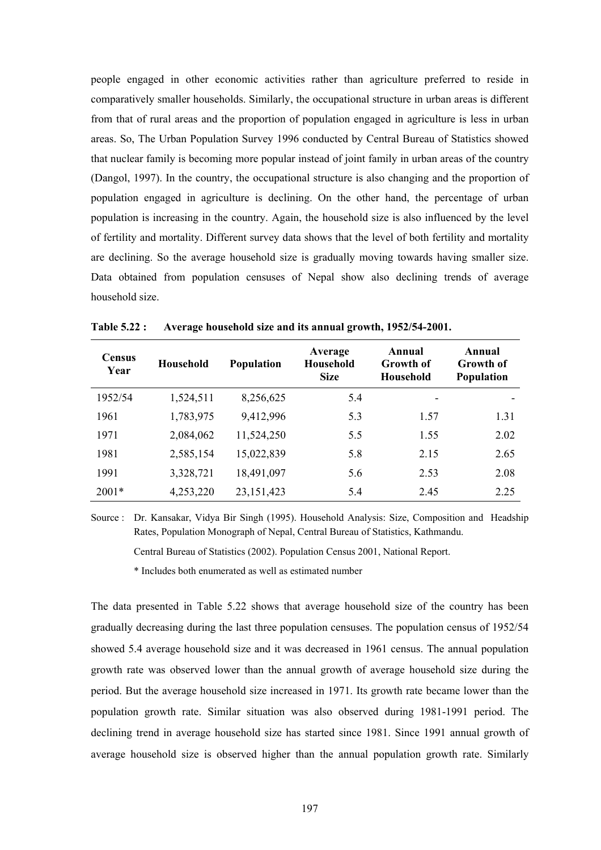people engaged in other economic activities rather than agriculture preferred to reside in comparatively smaller households. Similarly, the occupational structure in urban areas is different from that of rural areas and the proportion of population engaged in agriculture is less in urban areas. So, The Urban Population Survey 1996 conducted by Central Bureau of Statistics showed that nuclear family is becoming more popular instead of joint family in urban areas of the country (Dangol, 1997). In the country, the occupational structure is also changing and the proportion of population engaged in agriculture is declining. On the other hand, the percentage of urban population is increasing in the country. Again, the household size is also influenced by the level of fertility and mortality. Different survey data shows that the level of both fertility and mortality are declining. So the average household size is gradually moving towards having smaller size. Data obtained from population censuses of Nepal show also declining trends of average household size.

| <b>Census</b><br>Year | <b>Household</b> | <b>Population</b> | Average<br>Household<br><b>Size</b> | Annual<br>Growth of<br><b>Household</b> | Annual<br>Growth of<br>Population |
|-----------------------|------------------|-------------------|-------------------------------------|-----------------------------------------|-----------------------------------|
| 1952/54               | 1,524,511        | 8,256,625         | 5.4                                 |                                         |                                   |
| 1961                  | 1,783,975        | 9,412,996         | 5.3                                 | 1.57                                    | 1.31                              |
| 1971                  | 2,084,062        | 11,524,250        | 5.5                                 | 1.55                                    | 2.02                              |
| 1981                  | 2,585,154        | 15,022,839        | 5.8                                 | 2.15                                    | 2.65                              |
| 1991                  | 3,328,721        | 18,491,097        | 5.6                                 | 2.53                                    | 2.08                              |
| $2001*$               | 4,253,220        | 23, 151, 423      | 5.4                                 | 2.45                                    | 2.25                              |

**Table 5.22 : Average household size and its annual growth, 1952/54-2001.** 

Source : Dr. Kansakar, Vidya Bir Singh (1995). Household Analysis: Size, Composition and Headship Rates, Population Monograph of Nepal, Central Bureau of Statistics, Kathmandu.

Central Bureau of Statistics (2002). Population Census 2001, National Report.

\* Includes both enumerated as well as estimated number

The data presented in Table 5.22 shows that average household size of the country has been gradually decreasing during the last three population censuses. The population census of 1952/54 showed 5.4 average household size and it was decreased in 1961 census. The annual population growth rate was observed lower than the annual growth of average household size during the period. But the average household size increased in 1971. Its growth rate became lower than the population growth rate. Similar situation was also observed during 1981-1991 period. The declining trend in average household size has started since 1981. Since 1991 annual growth of average household size is observed higher than the annual population growth rate. Similarly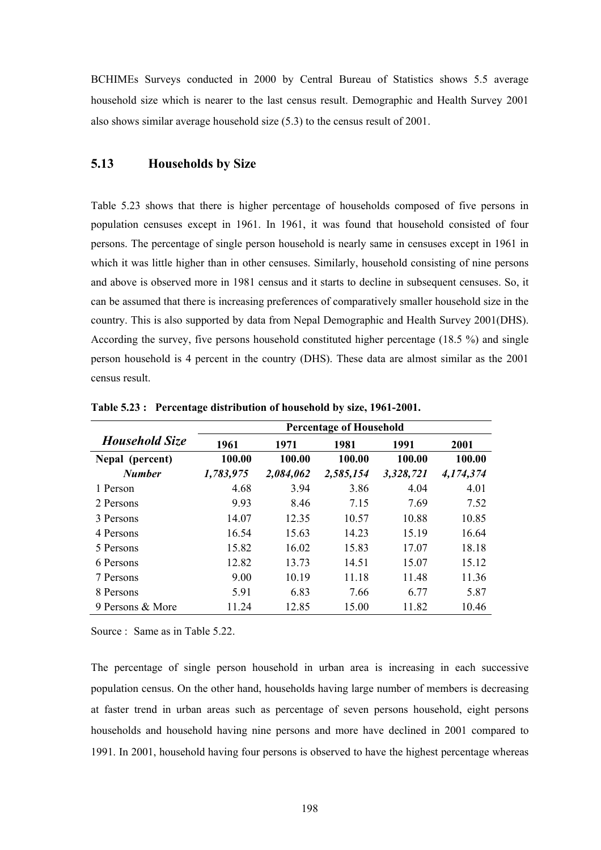BCHIMEs Surveys conducted in 2000 by Central Bureau of Statistics shows 5.5 average household size which is nearer to the last census result. Demographic and Health Survey 2001 also shows similar average household size (5.3) to the census result of 2001.

#### **5.13 Households by Size**

Table 5.23 shows that there is higher percentage of households composed of five persons in population censuses except in 1961. In 1961, it was found that household consisted of four persons. The percentage of single person household is nearly same in censuses except in 1961 in which it was little higher than in other censuses. Similarly, household consisting of nine persons and above is observed more in 1981 census and it starts to decline in subsequent censuses. So, it can be assumed that there is increasing preferences of comparatively smaller household size in the country. This is also supported by data from Nepal Demographic and Health Survey 2001(DHS). According the survey, five persons household constituted higher percentage (18.5 %) and single person household is 4 percent in the country (DHS). These data are almost similar as the 2001 census result.

|                  | <b>Percentage of Household</b> |           |           |           |           |  |  |  |
|------------------|--------------------------------|-----------|-----------|-----------|-----------|--|--|--|
| Household Size   | 1961                           | 1971      | 1981      | 1991      | 2001      |  |  |  |
| Nepal (percent)  | 100.00                         | 100.00    | 100.00    | 100.00    | 100.00    |  |  |  |
| <b>Number</b>    | 1,783,975                      | 2,084,062 | 2,585,154 | 3,328,721 | 4,174,374 |  |  |  |
| 1 Person         | 4.68                           | 3.94      | 3.86      | 4.04      | 4.01      |  |  |  |
| 2 Persons        | 9.93                           | 8.46      | 7.15      | 7.69      | 7.52      |  |  |  |
| 3 Persons        | 14.07                          | 12.35     | 10.57     | 10.88     | 10.85     |  |  |  |
| 4 Persons        | 16.54                          | 15.63     | 14.23     | 15.19     | 16.64     |  |  |  |
| 5 Persons        | 15.82                          | 16.02     | 15.83     | 17.07     | 18.18     |  |  |  |
| 6 Persons        | 12.82                          | 13.73     | 14.51     | 15.07     | 15.12     |  |  |  |
| 7 Persons        | 9.00                           | 10.19     | 11.18     | 11.48     | 11.36     |  |  |  |
| 8 Persons        | 5.91                           | 6.83      | 7.66      | 6.77      | 5.87      |  |  |  |
| 9 Persons & More | 11.24                          | 12.85     | 15.00     | 11.82     | 10.46     |  |  |  |

**Table 5.23 : Percentage distribution of household by size, 1961-2001.** 

Source : Same as in Table 5.22.

The percentage of single person household in urban area is increasing in each successive population census. On the other hand, households having large number of members is decreasing at faster trend in urban areas such as percentage of seven persons household, eight persons households and household having nine persons and more have declined in 2001 compared to 1991. In 2001, household having four persons is observed to have the highest percentage whereas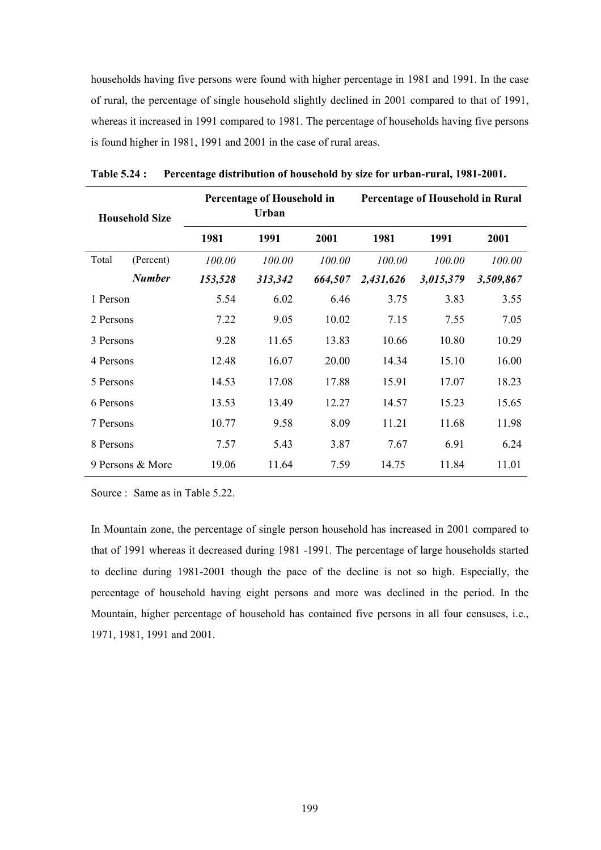households having five persons were found with higher percentage in 1981 and 1991. In the case of rural, the percentage of single household slightly declined in 2001 compared to that of 1991, whereas it increased in 1991 compared to 1981. The percentage of households having five persons is found higher in 1981, 1991 and 2001 in the case of rural areas.

|           | <b>Household Size</b> |         | <b>Percentage of Household in</b><br>Urban |         | <b>Percentage of Household in Rural</b> |           |           |  |
|-----------|-----------------------|---------|--------------------------------------------|---------|-----------------------------------------|-----------|-----------|--|
|           |                       | 1981    | 1991                                       | 2001    | 1981                                    | 1991      | 2001      |  |
| Total     | (Percent)             | 100.00  | 100.00                                     | 100.00  | 100.00                                  | 100.00    | 100.00    |  |
|           | <b>Number</b>         | 153,528 | 313,342                                    | 664,507 | 2,431,626                               | 3,015,379 | 3,509,867 |  |
| 1 Person  |                       | 5.54    | 6.02                                       | 6.46    | 3.75                                    | 3.83      | 3.55      |  |
| 2 Persons |                       | 7.22    | 9.05                                       | 10.02   | 7.15                                    | 7.55      | 7.05      |  |
| 3 Persons |                       | 9.28    | 11.65                                      | 13.83   | 10.66                                   | 10.80     | 10.29     |  |
| 4 Persons |                       | 12.48   | 16.07                                      | 20.00   | 14.34                                   | 15.10     | 16.00     |  |
| 5 Persons |                       | 14.53   | 17.08                                      | 17.88   | 15.91                                   | 17.07     | 18.23     |  |
| 6 Persons |                       | 13.53   | 13.49                                      | 12.27   | 14.57                                   | 15.23     | 15.65     |  |
| 7 Persons |                       | 10.77   | 9.58                                       | 8.09    | 11.21                                   | 11.68     | 11.98     |  |
| 8 Persons |                       | 7.57    | 5.43                                       | 3.87    | 7.67                                    | 6.91      | 6.24      |  |
|           | 9 Persons & More      | 19.06   | 11.64                                      | 7.59    | 14.75                                   | 11.84     | 11.01     |  |

**Table 5.24 : Percentage distribution of household by size for urban-rural, 1981-2001.** 

Source : Same as in Table 5.22.

In Mountain zone, the percentage of single person household has increased in 2001 compared to that of 1991 whereas it decreased during 1981 -1991. The percentage of large households started to decline during 1981-2001 though the pace of the decline is not so high. Especially, the percentage of household having eight persons and more was declined in the period. In the Mountain, higher percentage of household has contained five persons in all four censuses, i.e., 1971, 1981, 1991 and 2001.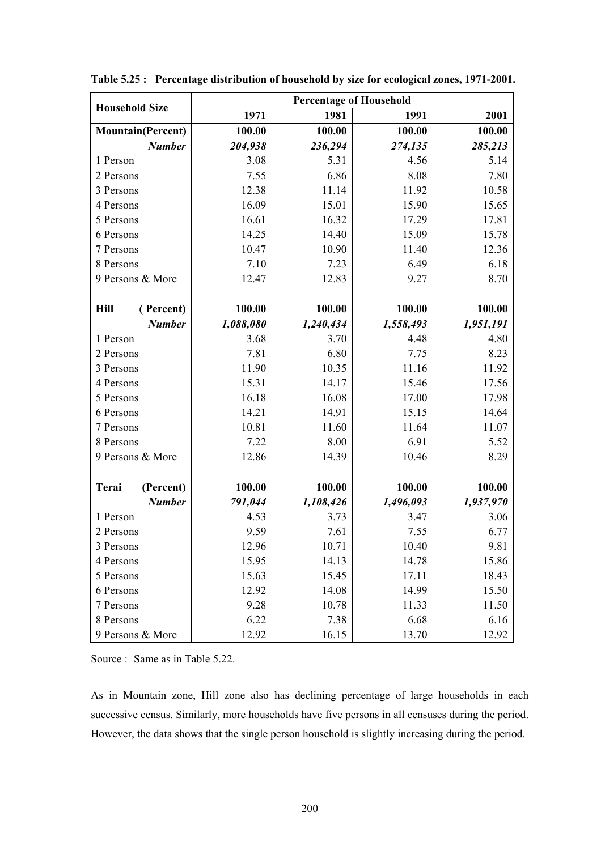| <b>Household Size</b> |                          |           |           | <b>Percentage of Household</b> |           |
|-----------------------|--------------------------|-----------|-----------|--------------------------------|-----------|
|                       |                          | 1971      | 1981      | 1991                           | 2001      |
|                       | <b>Mountain(Percent)</b> | 100.00    | 100.00    | 100.00                         | 100.00    |
| <b>Number</b>         |                          | 204,938   | 236,294   | 274,135                        | 285,213   |
| 1 Person              |                          | 3.08      | 5.31      | 4.56                           | 5.14      |
| 2 Persons             |                          | 7.55      | 6.86      | 8.08                           | 7.80      |
| 3 Persons             |                          | 12.38     | 11.14     | 11.92                          | 10.58     |
| 4 Persons             |                          | 16.09     | 15.01     | 15.90                          | 15.65     |
| 5 Persons             |                          | 16.61     | 16.32     | 17.29                          | 17.81     |
| 6 Persons             |                          | 14.25     | 14.40     | 15.09                          | 15.78     |
| 7 Persons             |                          | 10.47     | 10.90     | 11.40                          | 12.36     |
| 8 Persons             |                          | 7.10      | 7.23      | 6.49                           | 6.18      |
| 9 Persons & More      |                          | 12.47     | 12.83     | 9.27                           | 8.70      |
|                       |                          |           |           |                                |           |
| Hill                  | (Percent)                | 100.00    | 100.00    | 100.00                         | 100.00    |
|                       | <b>Number</b>            | 1,088,080 | 1,240,434 | 1,558,493                      | 1,951,191 |
| 1 Person              |                          | 3.68      | 3.70      | 4.48                           | 4.80      |
| 2 Persons             |                          | 7.81      | 6.80      | 7.75                           | 8.23      |
| 3 Persons             |                          | 11.90     | 10.35     | 11.16                          | 11.92     |
| 4 Persons             |                          | 15.31     | 14.17     | 15.46                          | 17.56     |
| 5 Persons             |                          | 16.18     | 16.08     | 17.00                          | 17.98     |
| 6 Persons             |                          | 14.21     | 14.91     | 15.15                          | 14.64     |
| 7 Persons             |                          | 10.81     | 11.60     | 11.64                          | 11.07     |
| 8 Persons             |                          | 7.22      | 8.00      | 6.91                           | 5.52      |
| 9 Persons & More      |                          | 12.86     | 14.39     | 10.46                          | 8.29      |
|                       |                          |           |           |                                |           |
| Terai                 | (Percent)                | 100.00    | 100.00    | 100.00                         | 100.00    |
|                       | <b>Number</b>            | 791,044   | 1,108,426 | 1,496,093                      | 1,937,970 |
| 1 Person              |                          | 4.53      | 3.73      | 3.47                           | 3.06      |
| 2 Persons             |                          | 9.59      | 7.61      | 7.55                           | 6.77      |
| 3 Persons             |                          | 12.96     | 10.71     | 10.40                          | 9.81      |
| 4 Persons             |                          | 15.95     | 14.13     | 14.78                          | 15.86     |
| 5 Persons             |                          | 15.63     | 15.45     | 17.11                          | 18.43     |
| 6 Persons             |                          | 12.92     | 14.08     | 14.99                          | 15.50     |
| 7 Persons             |                          | 9.28      | 10.78     | 11.33                          | 11.50     |
| 8 Persons             |                          | 6.22      | 7.38      | 6.68                           | 6.16      |
| 9 Persons & More      |                          | 12.92     | 16.15     | 13.70                          | 12.92     |

**Table 5.25 : Percentage distribution of household by size for ecological zones, 1971-2001.** 

Source : Same as in Table 5.22.

As in Mountain zone, Hill zone also has declining percentage of large households in each successive census. Similarly, more households have five persons in all censuses during the period. However, the data shows that the single person household is slightly increasing during the period.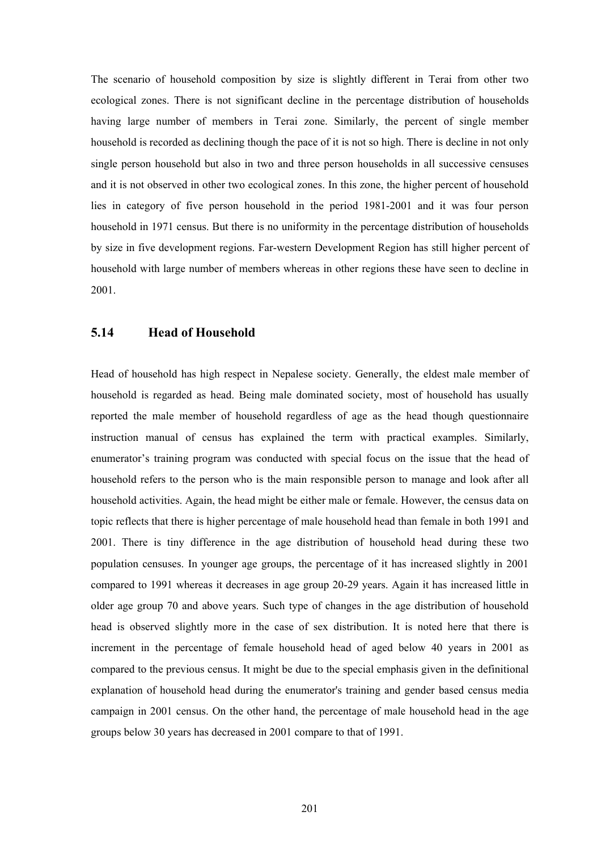The scenario of household composition by size is slightly different in Terai from other two ecological zones. There is not significant decline in the percentage distribution of households having large number of members in Terai zone. Similarly, the percent of single member household is recorded as declining though the pace of it is not so high. There is decline in not only single person household but also in two and three person households in all successive censuses and it is not observed in other two ecological zones. In this zone, the higher percent of household lies in category of five person household in the period 1981-2001 and it was four person household in 1971 census. But there is no uniformity in the percentage distribution of households by size in five development regions. Far-western Development Region has still higher percent of household with large number of members whereas in other regions these have seen to decline in 2001.

#### **5.14 Head of Household**

Head of household has high respect in Nepalese society. Generally, the eldest male member of household is regarded as head. Being male dominated society, most of household has usually reported the male member of household regardless of age as the head though questionnaire instruction manual of census has explained the term with practical examples. Similarly, enumerator's training program was conducted with special focus on the issue that the head of household refers to the person who is the main responsible person to manage and look after all household activities. Again, the head might be either male or female. However, the census data on topic reflects that there is higher percentage of male household head than female in both 1991 and 2001. There is tiny difference in the age distribution of household head during these two population censuses. In younger age groups, the percentage of it has increased slightly in 2001 compared to 1991 whereas it decreases in age group 20-29 years. Again it has increased little in older age group 70 and above years. Such type of changes in the age distribution of household head is observed slightly more in the case of sex distribution. It is noted here that there is increment in the percentage of female household head of aged below 40 years in 2001 as compared to the previous census. It might be due to the special emphasis given in the definitional explanation of household head during the enumerator's training and gender based census media campaign in 2001 census. On the other hand, the percentage of male household head in the age groups below 30 years has decreased in 2001 compare to that of 1991.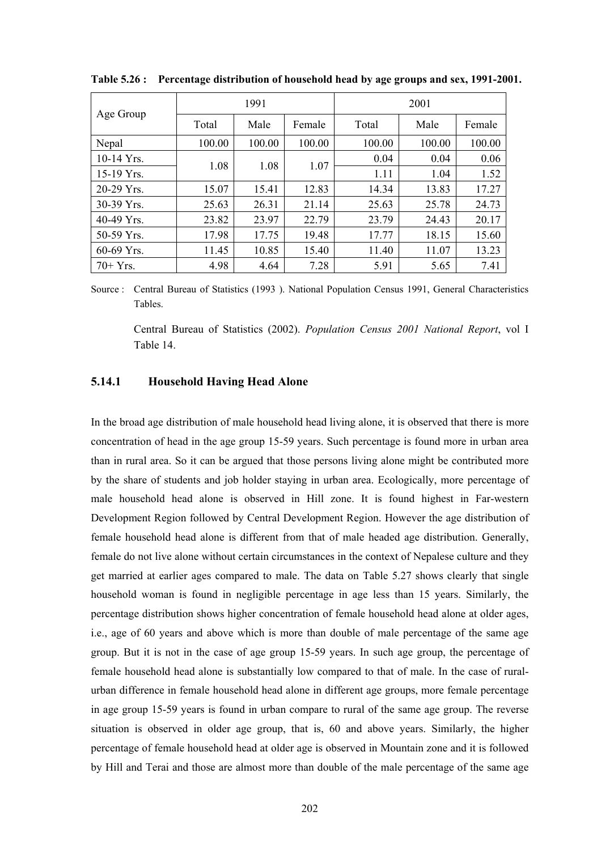|              |        | 1991   |        |        | 2001  | Male<br>Female<br>100.00<br>100.00<br>0.04<br>0.06<br>1.04<br>1.52<br>17.27<br>13.83<br>25.78<br>24.73 |  |  |
|--------------|--------|--------|--------|--------|-------|--------------------------------------------------------------------------------------------------------|--|--|
| Age Group    | Total  | Male   | Female | Total  |       |                                                                                                        |  |  |
| Nepal        | 100.00 | 100.00 | 100.00 | 100.00 |       |                                                                                                        |  |  |
| $10-14$ Yrs. | 1.08   | 1.08   | 1.07   | 0.04   |       |                                                                                                        |  |  |
| $15-19$ Yrs. |        |        |        | 1.11   |       |                                                                                                        |  |  |
| $20-29$ Yrs. | 15.07  | 15.41  | 12.83  | 14.34  |       |                                                                                                        |  |  |
| 30-39 Yrs.   | 25.63  | 26.31  | 21.14  | 25.63  |       |                                                                                                        |  |  |
| 40-49 Yrs.   | 23.82  | 23.97  | 22.79  | 23.79  | 24.43 | 20.17                                                                                                  |  |  |
| 50-59 Yrs.   | 17.98  | 17.75  | 19.48  | 17.77  | 18.15 | 15.60                                                                                                  |  |  |
| 60-69 Yrs.   | 11.45  | 10.85  | 15.40  | 11.40  | 11.07 | 13.23                                                                                                  |  |  |
| $70+Yrs$ .   | 4.98   | 4.64   | 7.28   | 5.91   | 5.65  | 7.41                                                                                                   |  |  |

**Table 5.26 : Percentage distribution of household head by age groups and sex, 1991-2001.** 

Source : Central Bureau of Statistics (1993 ). National Population Census 1991, General Characteristics Tables.

 Central Bureau of Statistics (2002). *Population Census 2001 National Report*, vol I Table 14.

#### **5.14.1 Household Having Head Alone**

In the broad age distribution of male household head living alone, it is observed that there is more concentration of head in the age group 15-59 years. Such percentage is found more in urban area than in rural area. So it can be argued that those persons living alone might be contributed more by the share of students and job holder staying in urban area. Ecologically, more percentage of male household head alone is observed in Hill zone. It is found highest in Far-western Development Region followed by Central Development Region. However the age distribution of female household head alone is different from that of male headed age distribution. Generally, female do not live alone without certain circumstances in the context of Nepalese culture and they get married at earlier ages compared to male. The data on Table 5.27 shows clearly that single household woman is found in negligible percentage in age less than 15 years. Similarly, the percentage distribution shows higher concentration of female household head alone at older ages, i.e., age of 60 years and above which is more than double of male percentage of the same age group. But it is not in the case of age group 15-59 years. In such age group, the percentage of female household head alone is substantially low compared to that of male. In the case of ruralurban difference in female household head alone in different age groups, more female percentage in age group 15-59 years is found in urban compare to rural of the same age group. The reverse situation is observed in older age group, that is, 60 and above years. Similarly, the higher percentage of female household head at older age is observed in Mountain zone and it is followed by Hill and Terai and those are almost more than double of the male percentage of the same age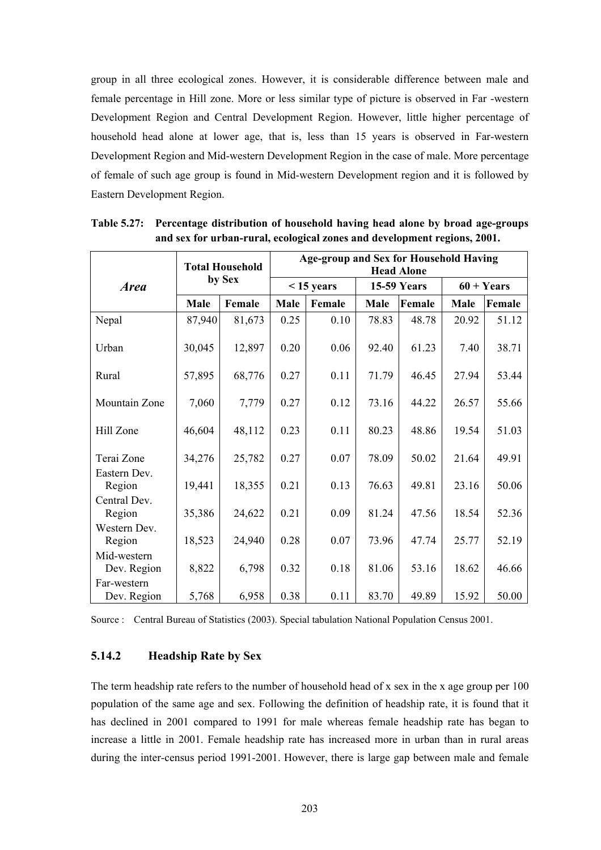group in all three ecological zones. However, it is considerable difference between male and female percentage in Hill zone. More or less similar type of picture is observed in Far -western Development Region and Central Development Region. However, little higher percentage of household head alone at lower age, that is, less than 15 years is observed in Far-western Development Region and Mid-western Development Region in the case of male. More percentage of female of such age group is found in Mid-western Development region and it is followed by Eastern Development Region.

|                            |        | <b>Total Household</b> | <b>Age-group and Sex for Household Having</b><br><b>Head Alone</b> |              |       |                    |       |              |
|----------------------------|--------|------------------------|--------------------------------------------------------------------|--------------|-------|--------------------|-------|--------------|
| <b>Area</b>                |        | by Sex                 |                                                                    | $<$ 15 years |       | <b>15-59 Years</b> |       | $60 + Years$ |
|                            | Male   | Female                 | <b>Male</b>                                                        | Female       | Male  | Female             | Male  | Female       |
| Nepal                      | 87,940 | 81,673                 | 0.25                                                               | 0.10         | 78.83 | 48.78              | 20.92 | 51.12        |
| Urban                      | 30,045 | 12,897                 | 0.20                                                               | 0.06         | 92.40 | 61.23              | 7.40  | 38.71        |
| Rural                      | 57,895 | 68,776                 | 0.27                                                               | 0.11         | 71.79 | 46.45              | 27.94 | 53.44        |
| Mountain Zone              | 7,060  | 7,779                  | 0.27                                                               | 0.12         | 73.16 | 44.22              | 26.57 | 55.66        |
| Hill Zone                  | 46,604 | 48,112                 | 0.23                                                               | 0.11         | 80.23 | 48.86              | 19.54 | 51.03        |
| Terai Zone                 | 34,276 | 25,782                 | 0.27                                                               | 0.07         | 78.09 | 50.02              | 21.64 | 49.91        |
| Eastern Dev.<br>Region     | 19,441 | 18,355                 | 0.21                                                               | 0.13         | 76.63 | 49.81              | 23.16 | 50.06        |
| Central Dev.<br>Region     | 35,386 | 24,622                 | 0.21                                                               | 0.09         | 81.24 | 47.56              | 18.54 | 52.36        |
| Western Dev.<br>Region     | 18,523 | 24,940                 | 0.28                                                               | 0.07         | 73.96 | 47.74              | 25.77 | 52.19        |
| Mid-western<br>Dev. Region | 8,822  | 6,798                  | 0.32                                                               | 0.18         | 81.06 | 53.16              | 18.62 | 46.66        |
| Far-western<br>Dev. Region | 5,768  | 6,958                  | 0.38                                                               | 0.11         | 83.70 | 49.89              | 15.92 | 50.00        |

**Table 5.27: Percentage distribution of household having head alone by broad age-groups and sex for urban-rural, ecological zones and development regions, 2001.** 

Source : Central Bureau of Statistics (2003). Special tabulation National Population Census 2001.

#### **5.14.2 Headship Rate by Sex**

The term headship rate refers to the number of household head of x sex in the x age group per 100 population of the same age and sex. Following the definition of headship rate, it is found that it has declined in 2001 compared to 1991 for male whereas female headship rate has began to increase a little in 2001. Female headship rate has increased more in urban than in rural areas during the inter-census period 1991-2001. However, there is large gap between male and female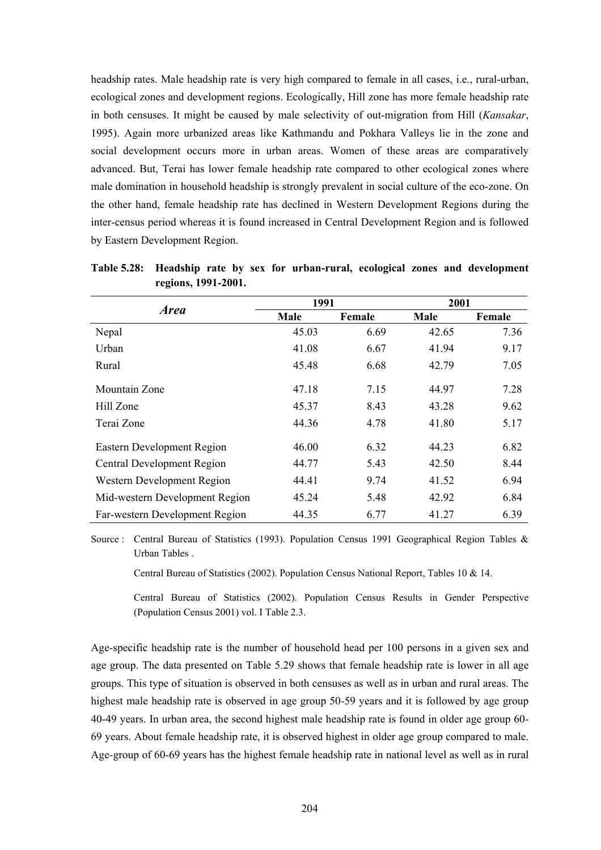headship rates. Male headship rate is very high compared to female in all cases, i.e., rural-urban, ecological zones and development regions. Ecologically, Hill zone has more female headship rate in both censuses. It might be caused by male selectivity of out-migration from Hill (*Kansakar*, 1995). Again more urbanized areas like Kathmandu and Pokhara Valleys lie in the zone and social development occurs more in urban areas. Women of these areas are comparatively advanced. But, Terai has lower female headship rate compared to other ecological zones where male domination in household headship is strongly prevalent in social culture of the eco-zone. On the other hand, female headship rate has declined in Western Development Regions during the inter-census period whereas it is found increased in Central Development Region and is followed by Eastern Development Region.

|                                   | 1991  |        | 2001  |        |  |
|-----------------------------------|-------|--------|-------|--------|--|
| <i>Area</i>                       | Male  | Female | Male  | Female |  |
| Nepal                             | 45.03 | 6.69   | 42.65 | 7.36   |  |
| Urban                             | 41.08 | 6.67   | 41.94 | 9.17   |  |
| Rural                             | 45.48 | 6.68   | 42.79 | 7.05   |  |
| Mountain Zone                     | 47.18 | 7.15   | 44.97 | 7.28   |  |
| Hill Zone                         | 45.37 | 8.43   | 43.28 | 9.62   |  |
| Terai Zone                        | 44.36 | 4.78   | 41.80 | 5.17   |  |
| Eastern Development Region        | 46.00 | 6.32   | 44.23 | 6.82   |  |
| <b>Central Development Region</b> | 44.77 | 5.43   | 42.50 | 8.44   |  |
| Western Development Region        | 44.41 | 9.74   | 41.52 | 6.94   |  |
| Mid-western Development Region    | 45.24 | 5.48   | 42.92 | 6.84   |  |
| Far-western Development Region    | 44.35 | 6.77   | 41.27 | 6.39   |  |

**Table 5.28: Headship rate by sex for urban-rural, ecological zones and development regions, 1991-2001.** 

Source : Central Bureau of Statistics (1993). Population Census 1991 Geographical Region Tables & Urban Tables .

Central Bureau of Statistics (2002). Population Census National Report, Tables 10 & 14.

 Central Bureau of Statistics (2002). Population Census Results in Gender Perspective (Population Census 2001) vol. I Table 2.3.

Age-specific headship rate is the number of household head per 100 persons in a given sex and age group. The data presented on Table 5.29 shows that female headship rate is lower in all age groups. This type of situation is observed in both censuses as well as in urban and rural areas. The highest male headship rate is observed in age group 50-59 years and it is followed by age group 40-49 years. In urban area, the second highest male headship rate is found in older age group 60- 69 years. About female headship rate, it is observed highest in older age group compared to male. Age-group of 60-69 years has the highest female headship rate in national level as well as in rural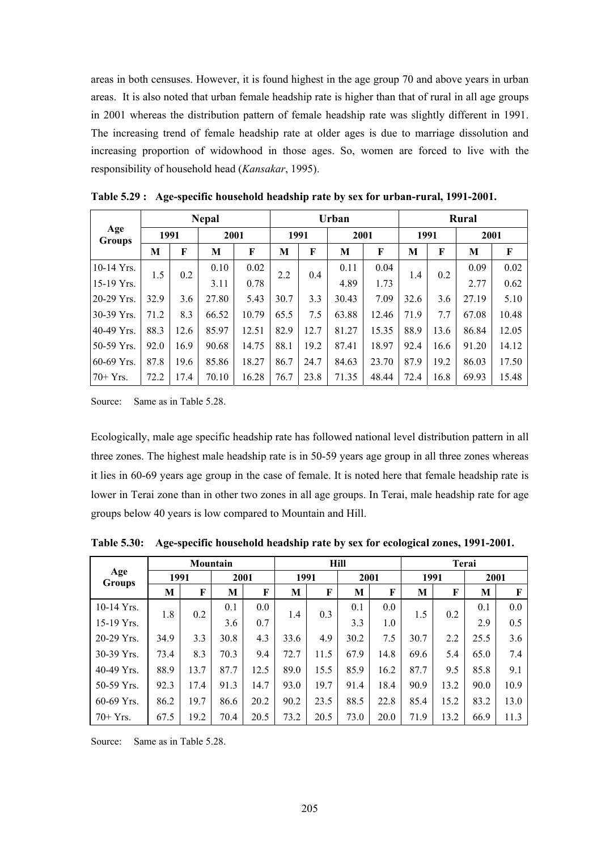areas in both censuses. However, it is found highest in the age group 70 and above years in urban areas. It is also noted that urban female headship rate is higher than that of rural in all age groups in 2001 whereas the distribution pattern of female headship rate was slightly different in 1991. The increasing trend of female headship rate at older ages is due to marriage dissolution and increasing proportion of widowhood in those ages. So, women are forced to live with the responsibility of household head (*Kansakar*, 1995).

| Age<br><b>Groups</b> |      |      | <b>Nepal</b> |       |      |      | <b>Urban</b> |       |      |      | Rural |       |
|----------------------|------|------|--------------|-------|------|------|--------------|-------|------|------|-------|-------|
|                      |      | 1991 | 2001         |       |      | 1991 | 2001         |       | 1991 |      | 2001  |       |
|                      | M    | F    | M            | F     | M    | F    | М            | F     | M    | F    | M     | F     |
| 10-14 Yrs.           | 1.5  | 0.2  | 0.10         | 0.02  | 2.2  | 0.4  | 0.11         | 0.04  | 1.4  | 0.2  | 0.09  | 0.02  |
| 15-19 Yrs.           |      |      | 3.11         | 0.78  |      |      | 4.89         | 1.73  |      |      | 2.77  | 0.62  |
| 20-29 Yrs.           | 32.9 | 3.6  | 27.80        | 5.43  | 30.7 | 3.3  | 30.43        | 7.09  | 32.6 | 3.6  | 27.19 | 5.10  |
| 30-39 Yrs.           | 71.2 | 8.3  | 66.52        | 10.79 | 65.5 | 7.5  | 63.88        | 12.46 | 71.9 | 7.7  | 67.08 | 10.48 |
| 40-49 Yrs.           | 88.3 | 12.6 | 85.97        | 12.51 | 82.9 | 12.7 | 81.27        | 15.35 | 88.9 | 13.6 | 86.84 | 12.05 |
| 50-59 Yrs.           | 92.0 | 16.9 | 90.68        | 14.75 | 88.1 | 19.2 | 87.41        | 18.97 | 92.4 | 16.6 | 91.20 | 14.12 |
| 60-69 Yrs.           | 87.8 | 19.6 | 85.86        | 18.27 | 86.7 | 24.7 | 84.63        | 23.70 | 87.9 | 19.2 | 86.03 | 17.50 |
| $70+Yrs$ .           | 72.2 | 17.4 | 70.10        | 16.28 | 76.7 | 23.8 | 71.35        | 48.44 | 72.4 | 16.8 | 69.93 | 15.48 |

**Table 5.29 : Age-specific household headship rate by sex for urban-rural, 1991-2001.** 

Source: Same as in Table 5.28.

Ecologically, male age specific headship rate has followed national level distribution pattern in all three zones. The highest male headship rate is in 50-59 years age group in all three zones whereas it lies in 60-69 years age group in the case of female. It is noted here that female headship rate is lower in Terai zone than in other two zones in all age groups. In Terai, male headship rate for age groups below 40 years is low compared to Mountain and Hill.

|                      |      | Mountain |      |         |      |      | Hill |      |      | Terai |      |      |
|----------------------|------|----------|------|---------|------|------|------|------|------|-------|------|------|
| Age<br><b>Groups</b> | 1991 |          | 2001 |         | 1991 |      | 2001 |      | 1991 |       | 2001 |      |
|                      | M    | F        | M    | F       | M    | F    | M    | F    | M    | F     | M    | F    |
| 10-14 Yrs.           | 1.8  | 0.2      | 0.1  | $0.0\,$ | 1.4  | 0.3  | 0.1  | 0.0  | 1.5  | 0.2   | 0.1  | 0.0  |
| 15-19 Yrs.           |      |          | 3.6  | 0.7     |      |      | 3.3  | 1.0  |      |       | 2.9  | 0.5  |
| 20-29 Yrs.           | 34.9 | 3.3      | 30.8 | 4.3     | 33.6 | 4.9  | 30.2 | 7.5  | 30.7 | 2.2   | 25.5 | 3.6  |
| 30-39 Yrs.           | 73.4 | 8.3      | 70.3 | 9.4     | 72.7 | 11.5 | 67.9 | 14.8 | 69.6 | 5.4   | 65.0 | 7.4  |
| 40-49 Yrs.           | 88.9 | 13.7     | 87.7 | 12.5    | 89.0 | 15.5 | 85.9 | 16.2 | 87.7 | 9.5   | 85.8 | 9.1  |
| 50-59 Yrs.           | 92.3 | 17.4     | 91.3 | 14.7    | 93.0 | 19.7 | 91.4 | 18.4 | 90.9 | 13.2  | 90.0 | 10.9 |
| $60-69$ Yrs.         | 86.2 | 19.7     | 86.6 | 20.2    | 90.2 | 23.5 | 88.5 | 22.8 | 85.4 | 15.2  | 83.2 | 13.0 |
| $70+Yrs$ .           | 67.5 | 19.2     | 70.4 | 20.5    | 73.2 | 20.5 | 73.0 | 20.0 | 71.9 | 13.2  | 66.9 | 11.3 |

**Table 5.30: Age-specific household headship rate by sex for ecological zones, 1991-2001.** 

Source: Same as in Table 5.28.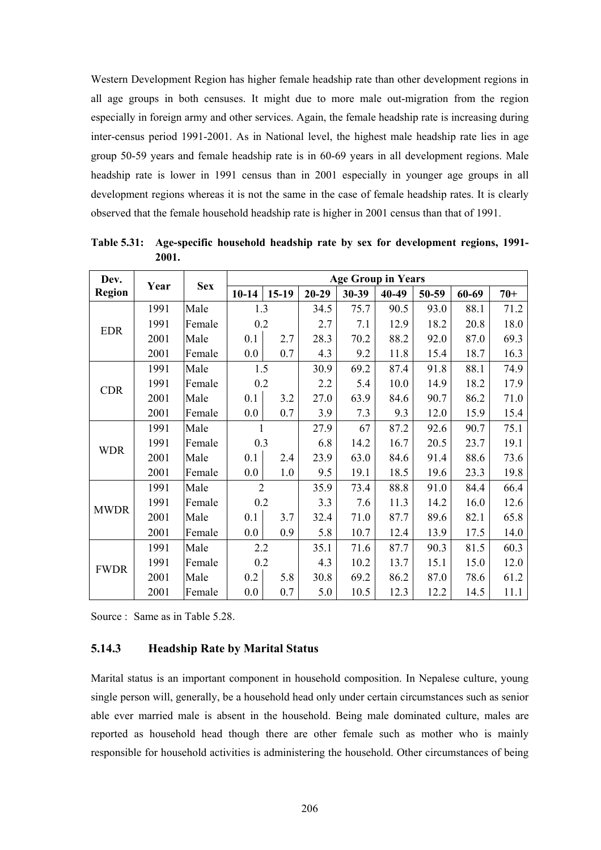Western Development Region has higher female headship rate than other development regions in all age groups in both censuses. It might due to more male out-migration from the region especially in foreign army and other services. Again, the female headship rate is increasing during inter-census period 1991-2001. As in National level, the highest male headship rate lies in age group 50-59 years and female headship rate is in 60-69 years in all development regions. Male headship rate is lower in 1991 census than in 2001 especially in younger age groups in all development regions whereas it is not the same in the case of female headship rates. It is clearly observed that the female household headship rate is higher in 2001 census than that of 1991.

| Dev.<br>Year  |      | <b>Sex</b> |                |         | <b>Age Group in Years</b> |       |       |       |           |       |
|---------------|------|------------|----------------|---------|---------------------------|-------|-------|-------|-----------|-------|
| <b>Region</b> |      |            | $10 - 14$      | $15-19$ | $20 - 29$                 | 30-39 | 40-49 | 50-59 | $60 - 69$ | $70+$ |
|               | 1991 | Male       | 1.3            |         | 34.5                      | 75.7  | 90.5  | 93.0  | 88.1      | 71.2  |
| <b>EDR</b>    | 1991 | Female     | 0.2            |         | 2.7                       | 7.1   | 12.9  | 18.2  | 20.8      | 18.0  |
|               | 2001 | Male       | 0.1            | 2.7     | 28.3                      | 70.2  | 88.2  | 92.0  | 87.0      | 69.3  |
|               | 2001 | Female     | 0.0            | 0.7     | 4.3                       | 9.2   | 11.8  | 15.4  | 18.7      | 16.3  |
|               | 1991 | Male       | 1.5            |         | 30.9                      | 69.2  | 87.4  | 91.8  | 88.1      | 74.9  |
| <b>CDR</b>    | 1991 | Female     | 0.2            |         | 2.2                       | 5.4   | 10.0  | 14.9  | 18.2      | 17.9  |
|               | 2001 | Male       | 0.1            | 3.2     | 27.0                      | 63.9  | 84.6  | 90.7  | 86.2      | 71.0  |
|               | 2001 | Female     | 0.0            | 0.7     | 3.9                       | 7.3   | 9.3   | 12.0  | 15.9      | 15.4  |
|               | 1991 | Male       | $\mathbf{1}$   |         | 27.9                      | 67    | 87.2  | 92.6  | 90.7      | 75.1  |
| <b>WDR</b>    | 1991 | Female     | 0.3            |         | 6.8                       | 14.2  | 16.7  | 20.5  | 23.7      | 19.1  |
|               | 2001 | Male       | 0.1            | 2.4     | 23.9                      | 63.0  | 84.6  | 91.4  | 88.6      | 73.6  |
|               | 2001 | Female     | 0.0            | 1.0     | 9.5                       | 19.1  | 18.5  | 19.6  | 23.3      | 19.8  |
|               | 1991 | Male       | $\overline{2}$ |         | 35.9                      | 73.4  | 88.8  | 91.0  | 84.4      | 66.4  |
| <b>MWDR</b>   | 1991 | Female     | 0.2            |         | 3.3                       | 7.6   | 11.3  | 14.2  | 16.0      | 12.6  |
|               | 2001 | Male       | 0.1            | 3.7     | 32.4                      | 71.0  | 87.7  | 89.6  | 82.1      | 65.8  |
|               | 2001 | Female     | 0.0            | 0.9     | 5.8                       | 10.7  | 12.4  | 13.9  | 17.5      | 14.0  |
|               | 1991 | Male       | 2.2            |         | 35.1                      | 71.6  | 87.7  | 90.3  | 81.5      | 60.3  |
| <b>FWDR</b>   | 1991 | Female     | 0.2            |         | 4.3                       | 10.2  | 13.7  | 15.1  | 15.0      | 12.0  |
|               | 2001 | Male       | 0.2            | 5.8     | 30.8                      | 69.2  | 86.2  | 87.0  | 78.6      | 61.2  |
|               | 2001 | Female     | 0.0            | 0.7     | 5.0                       | 10.5  | 12.3  | 12.2  | 14.5      | 11.1  |

**Table 5.31: Age-specific household headship rate by sex for development regions, 1991- 2001.** 

Source : Same as in Table 5.28.

#### **5.14.3 Headship Rate by Marital Status**

Marital status is an important component in household composition. In Nepalese culture, young single person will, generally, be a household head only under certain circumstances such as senior able ever married male is absent in the household. Being male dominated culture, males are reported as household head though there are other female such as mother who is mainly responsible for household activities is administering the household. Other circumstances of being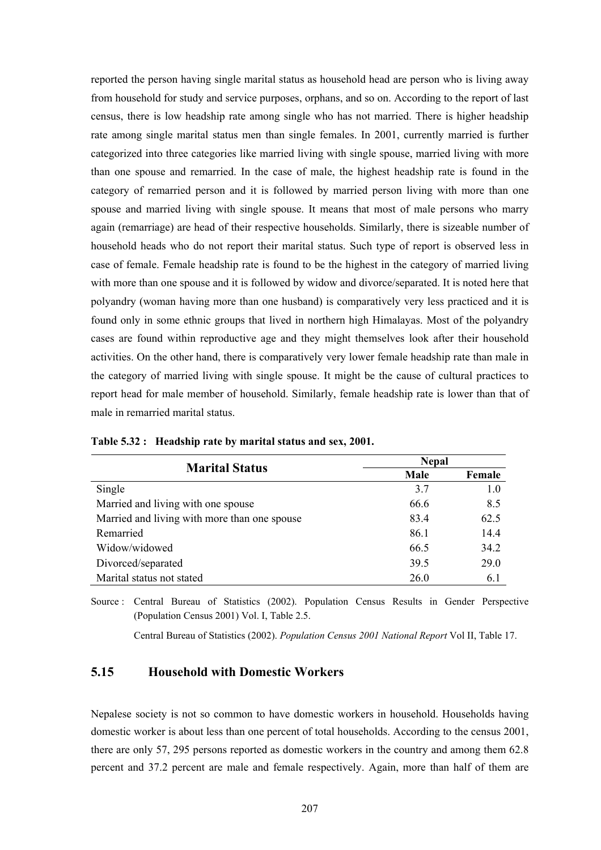reported the person having single marital status as household head are person who is living away from household for study and service purposes, orphans, and so on. According to the report of last census, there is low headship rate among single who has not married. There is higher headship rate among single marital status men than single females. In 2001, currently married is further categorized into three categories like married living with single spouse, married living with more than one spouse and remarried. In the case of male, the highest headship rate is found in the category of remarried person and it is followed by married person living with more than one spouse and married living with single spouse. It means that most of male persons who marry again (remarriage) are head of their respective households. Similarly, there is sizeable number of household heads who do not report their marital status. Such type of report is observed less in case of female. Female headship rate is found to be the highest in the category of married living with more than one spouse and it is followed by widow and divorce/separated. It is noted here that polyandry (woman having more than one husband) is comparatively very less practiced and it is found only in some ethnic groups that lived in northern high Himalayas. Most of the polyandry cases are found within reproductive age and they might themselves look after their household activities. On the other hand, there is comparatively very lower female headship rate than male in the category of married living with single spouse. It might be the cause of cultural practices to report head for male member of household. Similarly, female headship rate is lower than that of male in remarried marital status.

| <b>Marital Status</b>                        | <b>Nepal</b> |        |  |  |  |
|----------------------------------------------|--------------|--------|--|--|--|
|                                              | Male         | Female |  |  |  |
| Single                                       | 3.7          | 1.0    |  |  |  |
| Married and living with one spouse           | 66.6         | 8.5    |  |  |  |
| Married and living with more than one spouse | 83.4         | 62.5   |  |  |  |
| Remarried                                    | 86.1         | 14.4   |  |  |  |
| Widow/widowed                                | 66.5         | 34.2   |  |  |  |
| Divorced/separated                           | 39.5         | 29.0   |  |  |  |
| Marital status not stated                    | 26.0         | 6.1    |  |  |  |

**Table 5.32 : Headship rate by marital status and sex, 2001.** 

Source : Central Bureau of Statistics (2002). Population Census Results in Gender Perspective (Population Census 2001) Vol. I, Table 2.5.

Central Bureau of Statistics (2002). *Population Census 2001 National Report* Vol II, Table 17.

## **5.15 Household with Domestic Workers**

Nepalese society is not so common to have domestic workers in household. Households having domestic worker is about less than one percent of total households. According to the census 2001, there are only 57, 295 persons reported as domestic workers in the country and among them 62.8 percent and 37.2 percent are male and female respectively. Again, more than half of them are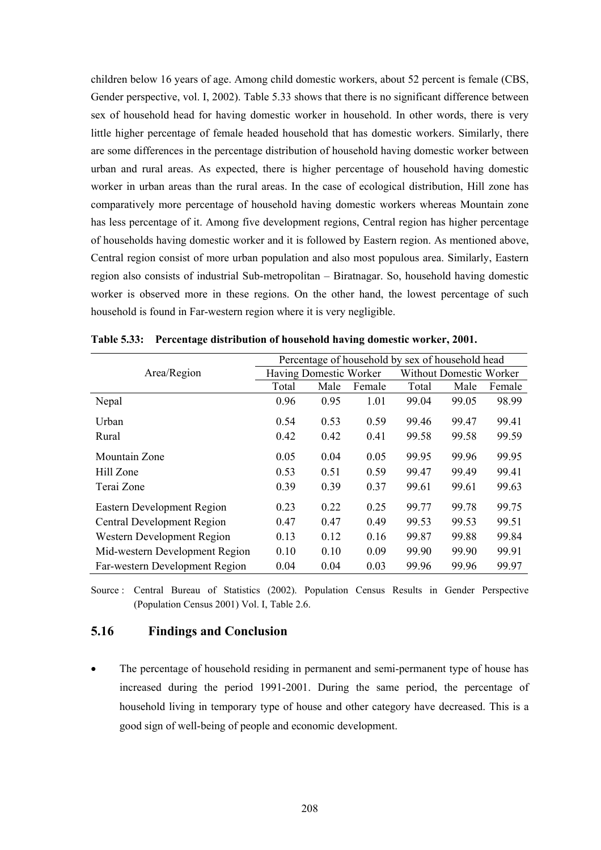children below 16 years of age. Among child domestic workers, about 52 percent is female (CBS, Gender perspective, vol. I, 2002). Table 5.33 shows that there is no significant difference between sex of household head for having domestic worker in household. In other words, there is very little higher percentage of female headed household that has domestic workers. Similarly, there are some differences in the percentage distribution of household having domestic worker between urban and rural areas. As expected, there is higher percentage of household having domestic worker in urban areas than the rural areas. In the case of ecological distribution, Hill zone has comparatively more percentage of household having domestic workers whereas Mountain zone has less percentage of it. Among five development regions, Central region has higher percentage of households having domestic worker and it is followed by Eastern region. As mentioned above, Central region consist of more urban population and also most populous area. Similarly, Eastern region also consists of industrial Sub-metropolitan – Biratnagar. So, household having domestic worker is observed more in these regions. On the other hand, the lowest percentage of such household is found in Far-western region where it is very negligible.

|                                   | Percentage of household by sex of household head |      |        |                                |       |        |  |  |
|-----------------------------------|--------------------------------------------------|------|--------|--------------------------------|-------|--------|--|--|
| Area/Region                       | <b>Having Domestic Worker</b>                    |      |        | <b>Without Domestic Worker</b> |       |        |  |  |
|                                   | Total                                            | Male | Female | Total                          | Male  | Female |  |  |
| Nepal                             | 0.96                                             | 0.95 | 1.01   | 99.04                          | 99.05 | 98.99  |  |  |
| Urban                             | 0.54                                             | 0.53 | 0.59   | 99.46                          | 99.47 | 99.41  |  |  |
| Rural                             | 0.42                                             | 0.42 | 0.41   | 99.58                          | 99.58 | 99.59  |  |  |
| Mountain Zone                     | 0.05                                             | 0.04 | 0.05   | 99.95                          | 99.96 | 99.95  |  |  |
| Hill Zone                         | 0.53                                             | 0.51 | 0.59   | 99.47                          | 99.49 | 99.41  |  |  |
| Terai Zone                        | 0.39                                             | 0.39 | 0.37   | 99.61                          | 99.61 | 99.63  |  |  |
| Eastern Development Region        | 0.23                                             | 0.22 | 0.25   | 99.77                          | 99.78 | 99.75  |  |  |
| <b>Central Development Region</b> | 0.47                                             | 0.47 | 0.49   | 99.53                          | 99.53 | 99.51  |  |  |
| Western Development Region        | 0.13                                             | 0.12 | 0.16   | 99.87                          | 99.88 | 99.84  |  |  |
| Mid-western Development Region    | 0.10                                             | 0.10 | 0.09   | 99.90                          | 99.90 | 99.91  |  |  |
| Far-western Development Region    | 0.04                                             | 0.04 | 0.03   | 99.96                          | 99.96 | 99.97  |  |  |

**Table 5.33: Percentage distribution of household having domestic worker, 2001.** 

Source : Central Bureau of Statistics (2002). Population Census Results in Gender Perspective (Population Census 2001) Vol. I, Table 2.6.

#### **5.16 Findings and Conclusion**

• The percentage of household residing in permanent and semi-permanent type of house has increased during the period 1991-2001. During the same period, the percentage of household living in temporary type of house and other category have decreased. This is a good sign of well-being of people and economic development.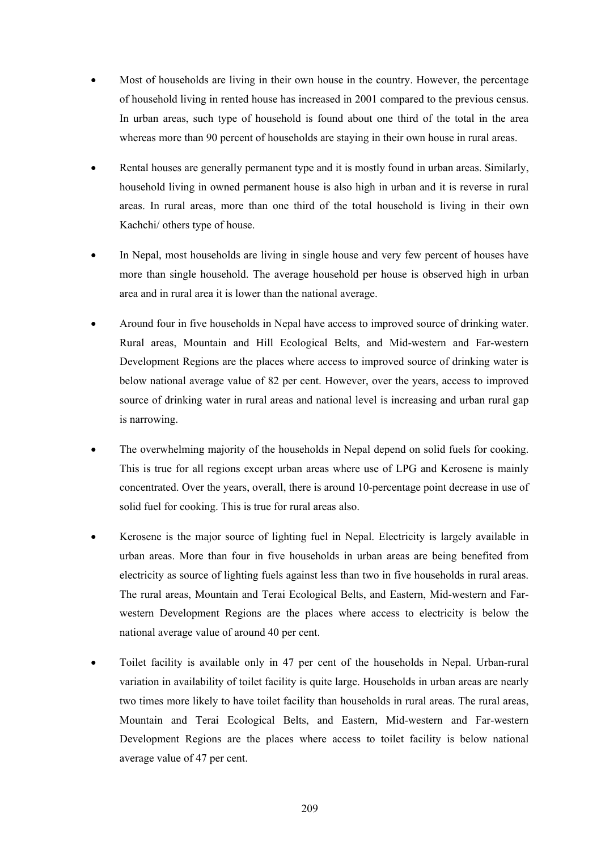- Most of households are living in their own house in the country. However, the percentage of household living in rented house has increased in 2001 compared to the previous census. In urban areas, such type of household is found about one third of the total in the area whereas more than 90 percent of households are staying in their own house in rural areas.
- Rental houses are generally permanent type and it is mostly found in urban areas. Similarly, household living in owned permanent house is also high in urban and it is reverse in rural areas. In rural areas, more than one third of the total household is living in their own Kachchi/ others type of house.
- In Nepal, most households are living in single house and very few percent of houses have more than single household. The average household per house is observed high in urban area and in rural area it is lower than the national average.
- Around four in five households in Nepal have access to improved source of drinking water. Rural areas, Mountain and Hill Ecological Belts, and Mid-western and Far-western Development Regions are the places where access to improved source of drinking water is below national average value of 82 per cent. However, over the years, access to improved source of drinking water in rural areas and national level is increasing and urban rural gap is narrowing.
- The overwhelming majority of the households in Nepal depend on solid fuels for cooking. This is true for all regions except urban areas where use of LPG and Kerosene is mainly concentrated. Over the years, overall, there is around 10-percentage point decrease in use of solid fuel for cooking. This is true for rural areas also.
- Kerosene is the major source of lighting fuel in Nepal. Electricity is largely available in urban areas. More than four in five households in urban areas are being benefited from electricity as source of lighting fuels against less than two in five households in rural areas. The rural areas, Mountain and Terai Ecological Belts, and Eastern, Mid-western and Farwestern Development Regions are the places where access to electricity is below the national average value of around 40 per cent.
- Toilet facility is available only in 47 per cent of the households in Nepal. Urban-rural variation in availability of toilet facility is quite large. Households in urban areas are nearly two times more likely to have toilet facility than households in rural areas. The rural areas, Mountain and Terai Ecological Belts, and Eastern, Mid-western and Far-western Development Regions are the places where access to toilet facility is below national average value of 47 per cent.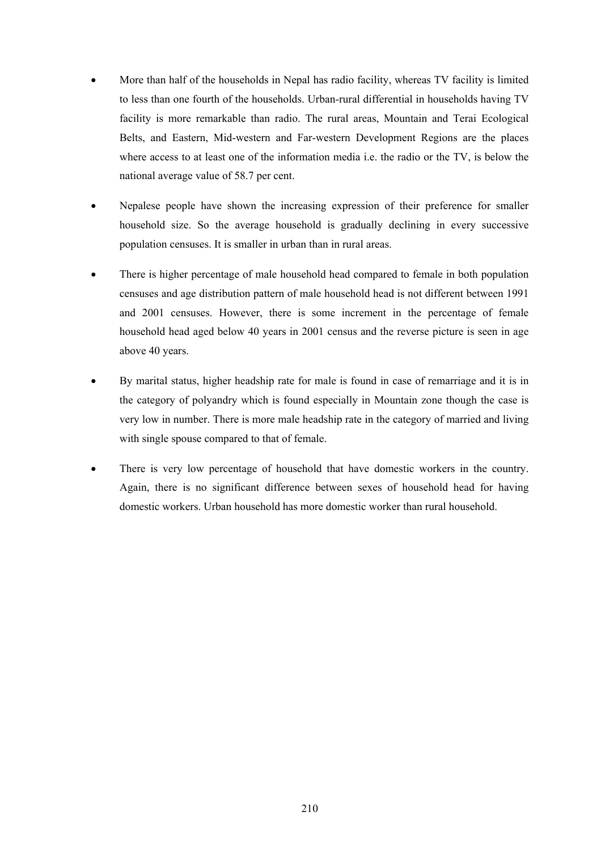- More than half of the households in Nepal has radio facility, whereas TV facility is limited to less than one fourth of the households. Urban-rural differential in households having TV facility is more remarkable than radio. The rural areas, Mountain and Terai Ecological Belts, and Eastern, Mid-western and Far-western Development Regions are the places where access to at least one of the information media i.e. the radio or the TV, is below the national average value of 58.7 per cent.
- Nepalese people have shown the increasing expression of their preference for smaller household size. So the average household is gradually declining in every successive population censuses. It is smaller in urban than in rural areas.
- There is higher percentage of male household head compared to female in both population censuses and age distribution pattern of male household head is not different between 1991 and 2001 censuses. However, there is some increment in the percentage of female household head aged below 40 years in 2001 census and the reverse picture is seen in age above 40 years.
- By marital status, higher headship rate for male is found in case of remarriage and it is in the category of polyandry which is found especially in Mountain zone though the case is very low in number. There is more male headship rate in the category of married and living with single spouse compared to that of female.
- There is very low percentage of household that have domestic workers in the country. Again, there is no significant difference between sexes of household head for having domestic workers. Urban household has more domestic worker than rural household.